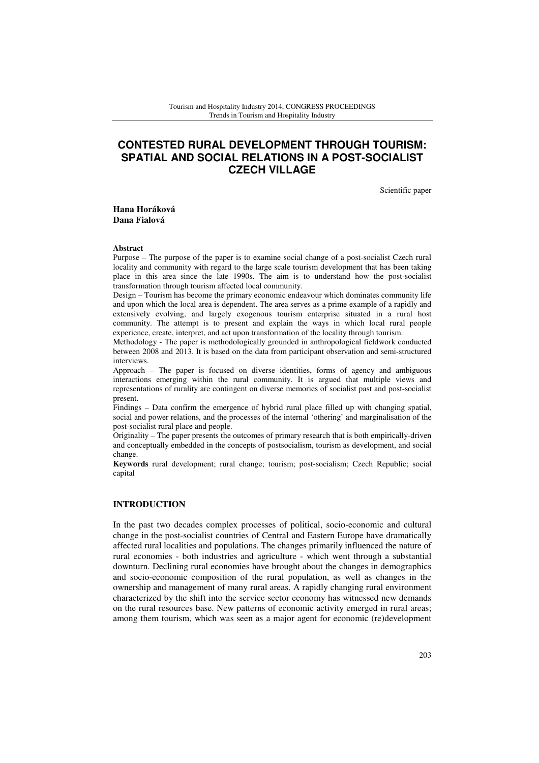# **CONTESTED RURAL DEVELOPMENT THROUGH TOURISM: SPATIAL AND SOCIAL RELATIONS IN A POST-SOCIALIST CZECH VILLAGE**

Scientific paper

**Hana Horáková Dana Fialová**

#### **Abstract**

Purpose – The purpose of the paper is to examine social change of a post-socialist Czech rural locality and community with regard to the large scale tourism development that has been taking place in this area since the late 1990s. The aim is to understand how the post-socialist transformation through tourism affected local community.

Design – Tourism has become the primary economic endeavour which dominates community life and upon which the local area is dependent. The area serves as a prime example of a rapidly and extensively evolving, and largely exogenous tourism enterprise situated in a rural host community. The attempt is to present and explain the ways in which local rural people experience, create, interpret, and act upon transformation of the locality through tourism.

Methodology - The paper is methodologically grounded in anthropological fieldwork conducted between 2008 and 2013. It is based on the data from participant observation and semi-structured interviews.

Approach – The paper is focused on diverse identities, forms of agency and ambiguous interactions emerging within the rural community. It is argued that multiple views and representations of rurality are contingent on diverse memories of socialist past and post-socialist present.

Findings – Data confirm the emergence of hybrid rural place filled up with changing spatial, social and power relations, and the processes of the internal 'othering' and marginalisation of the post-socialist rural place and people.

Originality – The paper presents the outcomes of primary research that is both empirically-driven and conceptually embedded in the concepts of postsocialism, tourism as development, and social change.

**Keywords** rural development; rural change; tourism; post-socialism; Czech Republic; social capital

### **INTRODUCTION**

In the past two decades complex processes of political, socio-economic and cultural change in the post-socialist countries of Central and Eastern Europe have dramatically affected rural localities and populations. The changes primarily influenced the nature of rural economies - both industries and agriculture - which went through a substantial downturn. Declining rural economies have brought about the changes in demographics and socio-economic composition of the rural population, as well as changes in the ownership and management of many rural areas. A rapidly changing rural environment characterized by the shift into the service sector economy has witnessed new demands on the rural resources base. New patterns of economic activity emerged in rural areas; among them tourism, which was seen as a major agent for economic (re)development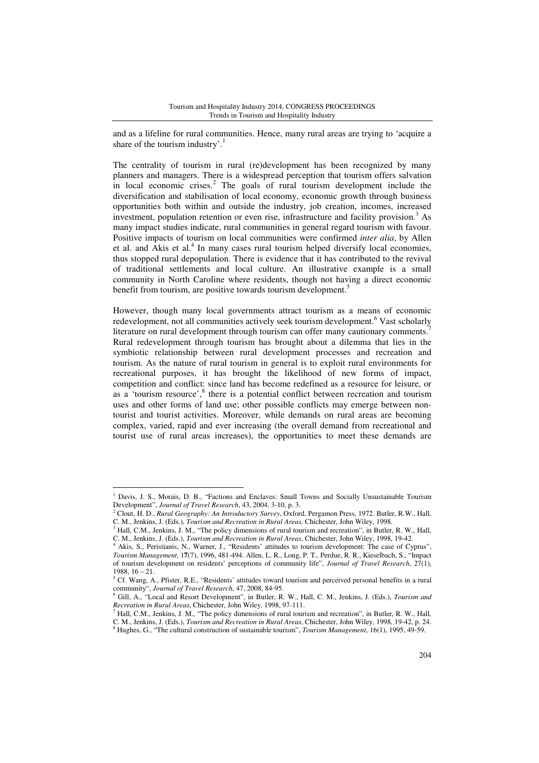and as a lifeline for rural communities. Hence, many rural areas are trying to 'acquire a share of the tourism industry'.<sup>1</sup>

The centrality of tourism in rural (re)development has been recognized by many planners and managers. There is a widespread perception that tourism offers salvation in local economic crises.<sup>2</sup> The goals of rural tourism development include the diversification and stabilisation of local economy, economic growth through business opportunities both within and outside the industry, job creation, incomes, increased investment, population retention or even rise, infrastructure and facility provision.<sup>3</sup> As many impact studies indicate, rural communities in general regard tourism with favour. Positive impacts of tourism on local communities were confirmed *inter alia*, by Allen et al. and Akis et al.<sup>4</sup> In many cases rural tourism helped diversify local economies, thus stopped rural depopulation. There is evidence that it has contributed to the revival of traditional settlements and local culture. An illustrative example is a small community in North Caroline where residents, though not having a direct economic benefit from tourism, are positive towards tourism development.<sup>5</sup>

However, though many local governments attract tourism as a means of economic redevelopment, not all communities actively seek tourism development.<sup>6</sup> Vast scholarly literature on rural development through tourism can offer many cautionary comments.<sup>7</sup> Rural redevelopment through tourism has brought about a dilemma that lies in the symbiotic relationship between rural development processes and recreation and tourism. As the nature of rural tourism in general is to exploit rural environments for recreational purposes, it has brought the likelihood of new forms of impact, competition and conflict: since land has become redefined as a resource for leisure, or as a 'tourism resource', $8$  there is a potential conflict between recreation and tourism uses and other forms of land use; other possible conflicts may emerge between nontourist and tourist activities. Moreover, while demands on rural areas are becoming complex, varied, rapid and ever increasing (the overall demand from recreational and tourist use of rural areas increases), the opportunities to meet these demands are

<sup>1</sup> Davis, J. S., Morais, D. B., "Factions and Enclaves: Small Towns and Socially Unsustainable Tourism Development", *Journal of Travel Research*, 43, 2004, 3-10, p. 3.

<sup>2</sup> Clout, H. D., *Rural Geography: An Introductory Survey*, Oxford, Pergamon Press, 1972. Butler, R.W., Hall, C. M., Jenkins, J. (Eds.), *Tourism and Recreation in Rural Areas,* Chichester, John Wiley, 1998.

<sup>3</sup> Hall, C.M., Jenkins, J. M., "The policy dimensions of rural tourism and recreation", in Butler, R. W., Hall, C. M., Jenkins, J. (Eds.), *Tourism and Recreation in Rural Areas*, Chichester, John Wiley, 1998, 19-42.

<sup>4</sup> Akis, S., Peristianis, N., Warner, J., "Residents' attitudes to tourism development: The case of Cyprus", *Tourism Management,* 1**7**(7), 1996, 481-494. Allen, L. R., Long, P. T., Perdue, R. R., Kieselbach, S., "Impact of tourism development on residents' perceptions of community life", *Journal of Travel Research*, 27(1), 1988, 16 – 21.

<sup>&</sup>lt;sup>5</sup> Cf. Wang, A., Pfister, R.E., "Residents' attitudes toward tourism and perceived personal benefits in a rural community", *Journal of Travel Research*, 47, 2008, 84-95.

<sup>6</sup> Gill, A., "Local and Resort Development", in Butler, R. W., Hall, C. M., Jenkins, J. (Eds.), *Tourism and Recreation in Rural Areas*, Chichester, John Wiley, 1998, 97-111.

<sup>&</sup>lt;sup>7</sup> Hall, C.M., Jenkins, J. M., "The policy dimensions of rural tourism and recreation", in Butler, R. W., Hall, C. M., Jenkins, J. (Eds.), *Tourism and Recreation in Rural Areas*, Chichester, John Wiley, 1998, 19-42, p. 24. 8 Hughes, G., "The cultural construction of sustainable tourism", *Tourism Management*, 16(1), 1995, 49-59.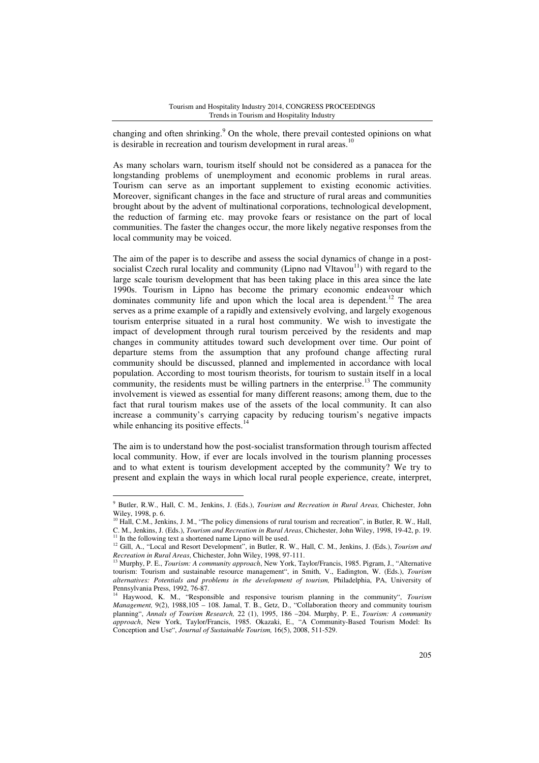changing and often shrinking.<sup>9</sup> On the whole, there prevail contested opinions on what is desirable in recreation and tourism development in rural areas.<sup>10</sup>

As many scholars warn, tourism itself should not be considered as a panacea for the longstanding problems of unemployment and economic problems in rural areas. Tourism can serve as an important supplement to existing economic activities. Moreover, significant changes in the face and structure of rural areas and communities brought about by the advent of multinational corporations, technological development, the reduction of farming etc. may provoke fears or resistance on the part of local communities. The faster the changes occur, the more likely negative responses from the local community may be voiced.

The aim of the paper is to describe and assess the social dynamics of change in a postsocialist Czech rural locality and community (Lipno nad  $V$ ltavou<sup>11</sup>) with regard to the large scale tourism development that has been taking place in this area since the late 1990s. Tourism in Lipno has become the primary economic endeavour which dominates community life and upon which the local area is dependent.<sup>12</sup> The area serves as a prime example of a rapidly and extensively evolving, and largely exogenous tourism enterprise situated in a rural host community. We wish to investigate the impact of development through rural tourism perceived by the residents and map changes in community attitudes toward such development over time. Our point of departure stems from the assumption that any profound change affecting rural community should be discussed, planned and implemented in accordance with local population. According to most tourism theorists, for tourism to sustain itself in a local community, the residents must be willing partners in the enterprise.<sup>13</sup> The community involvement is viewed as essential for many different reasons; among them, due to the fact that rural tourism makes use of the assets of the local community. It can also increase a community's carrying capacity by reducing tourism's negative impacts while enhancing its positive effects.<sup>14</sup>

The aim is to understand how the post-socialist transformation through tourism affected local community. How, if ever are locals involved in the tourism planning processes and to what extent is tourism development accepted by the community? We try to present and explain the ways in which local rural people experience, create, interpret,

<sup>9</sup> Butler, R.W., Hall, C. M., Jenkins, J. (Eds.), *Tourism and Recreation in Rural Areas,* Chichester, John Wiley, 1998, p. 6.

<sup>&</sup>lt;sup>10</sup> Hall, C.M., Jenkins, J. M., "The policy dimensions of rural tourism and recreation", in Butler, R. W., Hall, C. M., Jenkins, J. (Eds.), *Tourism and Recreation in Rural Areas*, Chichester, John Wiley, 1998, 19-42, p. 19.  $11$  In the following text a shortened name Lipno will be used.

<sup>&</sup>lt;sup>12</sup> Gill, A., "Local and Resort Development", in Butler, R. W., Hall, C. M., Jenkins, J. (Eds.), *Tourism and Recreation in Rural Areas*, Chichester, John Wiley, 1998, 97-111.

<sup>13</sup> Murphy, P. E., *Tourism: A community approach*, New York, Taylor/Francis, 1985. Pigram, J., "Alternative tourism: Tourism and sustainable resource management", in Smith, V., Eadington, W. (Eds.), *Tourism alternatives: Potentials and problems in the development of tourism,* Philadelphia, PA, University of Pennsylvania Press, 1992, 76-87.

<sup>14</sup> Haywood, K. M., "Responsible and responsive tourism planning in the community", *Tourism Management,* 9(2), 1988,105 – 108. Jamal, T. B., Getz, D., "Collaboration theory and community tourism planning", *Annals of Tourism Research,* 22 (1), 1995, 186 –204. Murphy, P. E., *Tourism: A community approach*, New York, Taylor/Francis, 1985. Okazaki, E., "A Community-Based Tourism Model: Its Conception and Use", *Journal of Sustainable Tourism,* 16(5), 2008, 511-529.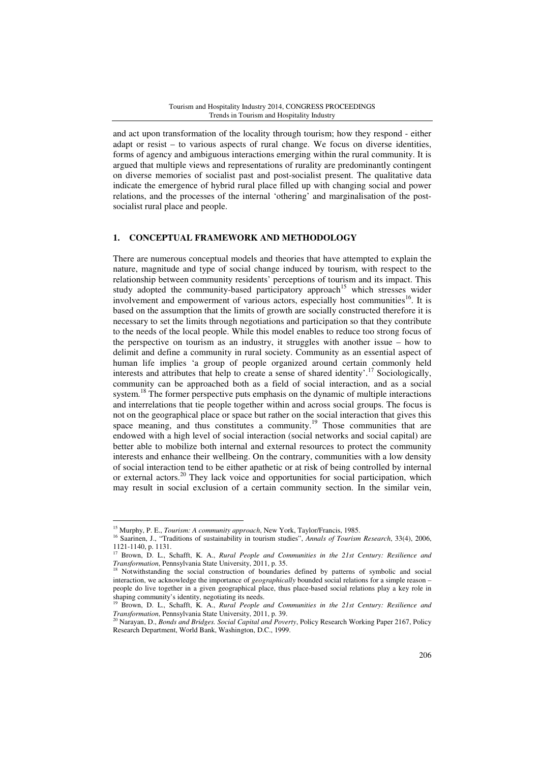and act upon transformation of the locality through tourism; how they respond - either adapt or resist – to various aspects of rural change. We focus on diverse identities, forms of agency and ambiguous interactions emerging within the rural community. It is argued that multiple views and representations of rurality are predominantly contingent on diverse memories of socialist past and post-socialist present. The qualitative data indicate the emergence of hybrid rural place filled up with changing social and power relations, and the processes of the internal 'othering' and marginalisation of the postsocialist rural place and people.

### **1. CONCEPTUAL FRAMEWORK AND METHODOLOGY**

There are numerous conceptual models and theories that have attempted to explain the nature, magnitude and type of social change induced by tourism, with respect to the relationship between community residents' perceptions of tourism and its impact. This study adopted the community-based participatory approach<sup>15</sup> which stresses wider involvement and empowerment of various actors, especially host communities<sup>16</sup>. It is based on the assumption that the limits of growth are socially constructed therefore it is necessary to set the limits through negotiations and participation so that they contribute to the needs of the local people. While this model enables to reduce too strong focus of the perspective on tourism as an industry, it struggles with another issue – how to delimit and define a community in rural society. Community as an essential aspect of human life implies 'a group of people organized around certain commonly held interests and attributes that help to create a sense of shared identity'.<sup>17</sup> Sociologically, community can be approached both as a field of social interaction, and as a social system.<sup>18</sup> The former perspective puts emphasis on the dynamic of multiple interactions and interrelations that tie people together within and across social groups. The focus is not on the geographical place or space but rather on the social interaction that gives this space meaning, and thus constitutes a community.<sup>19</sup> Those communities that are endowed with a high level of social interaction (social networks and social capital) are better able to mobilize both internal and external resources to protect the community interests and enhance their wellbeing. On the contrary, communities with a low density of social interaction tend to be either apathetic or at risk of being controlled by internal or external actors.<sup>20</sup> They lack voice and opportunities for social participation, which may result in social exclusion of a certain community section. In the similar vein,

<sup>15</sup> Murphy, P. E., *Tourism: A community approach*, New York, Taylor/Francis, 1985.

<sup>&</sup>lt;sup>16</sup> Saarinen, J., "Traditions of sustainability in tourism studies", *Annals of Tourism Research*, 33(4), 2006, 1121-1140, p. 1131.

<sup>17</sup> Brown, D. L., Schafft, K. A., *Rural People and Communities in the 21st Century: Resilience and Transformation*, Pennsylvania State University, 2011, p. 35.

<sup>&</sup>lt;sup>18</sup> Notwithstanding the social construction of boundaries defined by patterns of symbolic and social interaction, we acknowledge the importance of *geographically* bounded social relations for a simple reason – people do live together in a given geographical place, thus place-based social relations play a key role in shaping community's identity, negotiating its needs.<br><sup>19</sup> Brown D. J., Scheme M.

<sup>19</sup> Brown, D. L., Schafft, K. A., *Rural People and Communities in the 21st Century: Resilience and Transformation*, Pennsylvania State University, 2011, p. 39.

<sup>20</sup> Narayan, D., *Bonds and Bridges. Social Capital and Poverty*, Policy Research Working Paper 2167, Policy Research Department, World Bank, Washington, D.C., 1999.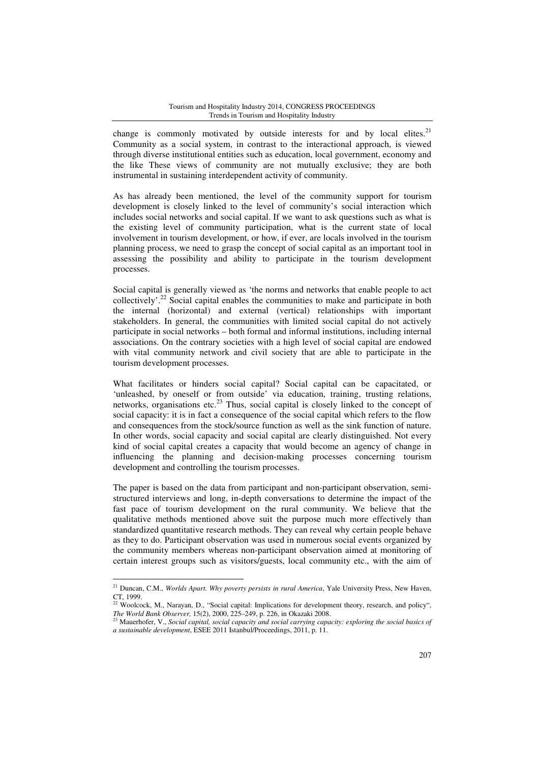change is commonly motivated by outside interests for and by local elites.<sup>21</sup> Community as a social system, in contrast to the interactional approach, is viewed through diverse institutional entities such as education, local government, economy and the like These views of community are not mutually exclusive; they are both instrumental in sustaining interdependent activity of community.

As has already been mentioned, the level of the community support for tourism development is closely linked to the level of community's social interaction which includes social networks and social capital. If we want to ask questions such as what is the existing level of community participation, what is the current state of local involvement in tourism development, or how, if ever, are locals involved in the tourism planning process, we need to grasp the concept of social capital as an important tool in assessing the possibility and ability to participate in the tourism development processes.

Social capital is generally viewed as 'the norms and networks that enable people to act collectively'.<sup>22</sup> Social capital enables the communities to make and participate in both the internal (horizontal) and external (vertical) relationships with important stakeholders. In general, the communities with limited social capital do not actively participate in social networks – both formal and informal institutions, including internal associations. On the contrary societies with a high level of social capital are endowed with vital community network and civil society that are able to participate in the tourism development processes.

What facilitates or hinders social capital? Social capital can be capacitated, or 'unleashed, by oneself or from outside' via education, training, trusting relations, networks, organisations etc.<sup>23</sup> Thus, social capital is closely linked to the concept of social capacity: it is in fact a consequence of the social capital which refers to the flow and consequences from the stock/source function as well as the sink function of nature. In other words, social capacity and social capital are clearly distinguished. Not every kind of social capital creates a capacity that would become an agency of change in influencing the planning and decision-making processes concerning tourism development and controlling the tourism processes.

The paper is based on the data from participant and non-participant observation, semistructured interviews and long, in-depth conversations to determine the impact of the fast pace of tourism development on the rural community. We believe that the qualitative methods mentioned above suit the purpose much more effectively than standardized quantitative research methods. They can reveal why certain people behave as they to do. Participant observation was used in numerous social events organized by the community members whereas non-participant observation aimed at monitoring of certain interest groups such as visitors/guests, local community etc., with the aim of

<sup>21</sup> Duncan, C.M., *Worlds Apart. Why poverty persists in rural America*, Yale University Press, New Haven, CT, 1999.

<sup>&</sup>lt;sup>22</sup> Woolcock, M., Narayan, D., "Social capital: Implications for development theory, research, and policy", *The World Bank Observer,* 15(2), 2000, 225–249, p. 226, in Okazaki 2008.

<sup>23</sup> Mauerhofer, V., *Social capital, social capacity and social carrying capacity: exploring the social basics of a sustainable development*, ESEE 2011 Istanbul/Proceedings, 2011, p. 11.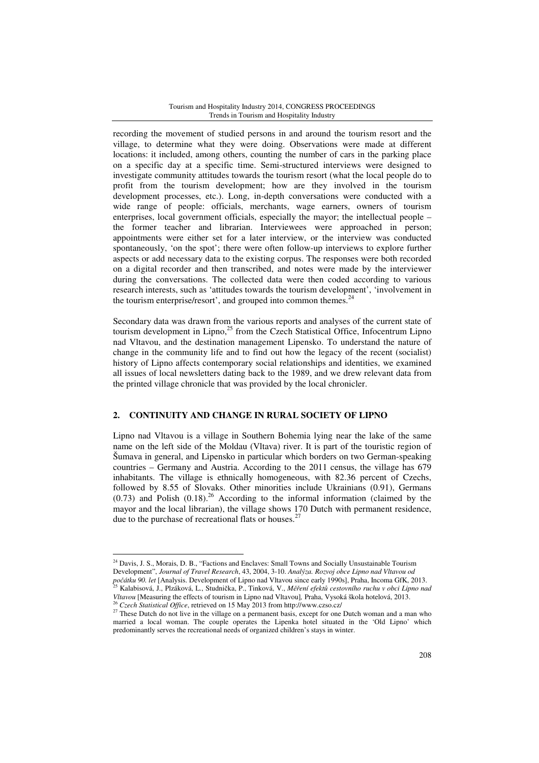recording the movement of studied persons in and around the tourism resort and the village, to determine what they were doing. Observations were made at different locations: it included, among others, counting the number of cars in the parking place on a specific day at a specific time. Semi-structured interviews were designed to investigate community attitudes towards the tourism resort (what the local people do to profit from the tourism development; how are they involved in the tourism development processes, etc.). Long, in-depth conversations were conducted with a wide range of people: officials, merchants, wage earners, owners of tourism enterprises, local government officials, especially the mayor; the intellectual people – the former teacher and librarian. Interviewees were approached in person; appointments were either set for a later interview, or the interview was conducted spontaneously, 'on the spot'; there were often follow-up interviews to explore further aspects or add necessary data to the existing corpus. The responses were both recorded on a digital recorder and then transcribed, and notes were made by the interviewer during the conversations. The collected data were then coded according to various research interests, such as 'attitudes towards the tourism development', 'involvement in the tourism enterprise/resort', and grouped into common themes.<sup>24</sup>

Secondary data was drawn from the various reports and analyses of the current state of tourism development in Lipno,<sup>25</sup> from the Czech Statistical Office, Infocentrum Lipno nad Vltavou, and the destination management Lipensko. To understand the nature of change in the community life and to find out how the legacy of the recent (socialist) history of Lipno affects contemporary social relationships and identities, we examined all issues of local newsletters dating back to the 1989, and we drew relevant data from the printed village chronicle that was provided by the local chronicler.

### **2. CONTINUITY AND CHANGE IN RURAL SOCIETY OF LIPNO**

Lipno nad Vltavou is a village in Southern Bohemia lying near the lake of the same name on the left side of the Moldau (Vltava) river. It is part of the touristic region of Šumava in general, and Lipensko in particular which borders on two German-speaking countries – Germany and Austria. According to the 2011 census, the village has 679 inhabitants. The village is ethnically homogeneous, with 82.36 percent of Czechs, followed by 8.55 of Slovaks. Other minorities include Ukrainians (0.91), Germans  $(0.73)$  and Polish  $(0.18)$ .<sup>26</sup> According to the informal information (claimed by the mayor and the local librarian), the village shows 170 Dutch with permanent residence, due to the purchase of recreational flats or houses.<sup>27</sup>

 $\overline{a}$ <sup>24</sup> Davis, J. S., Morais, D. B., "Factions and Enclaves: Small Towns and Socially Unsustainable Tourism Development", *Journal of Travel Research*, 43, 2004, 3-10. *Analýza. Rozvoj obce Lipno nad Vltavou od po*č*átku 90. let* [Analysis. Development of Lipno nad Vltavou since early 1990s], Praha, Incoma GfK, 2013.

<sup>25</sup> Kalabisová, J., Plzáková, L., Studnička, P., Tinková, V., *M*ěř*ení efekt*ů *cestovního ruchu v obci Lipno nad Vltavou* [Measuring the effects of tourism in Lipno nad Vltavou]*,* Praha, Vysoká škola hotelová, 2013. <sup>26</sup> *Czech Statistical Office*, retrieved on 15 May 2013 from http://www.czso.cz/

<sup>&</sup>lt;sup>27</sup> These Dutch do not live in the village on a permanent basis, except for one Dutch woman and a man who married a local woman. The couple operates the Lipenka hotel situated in the 'Old Lipno' which predominantly serves the recreational needs of organized children's stays in winter.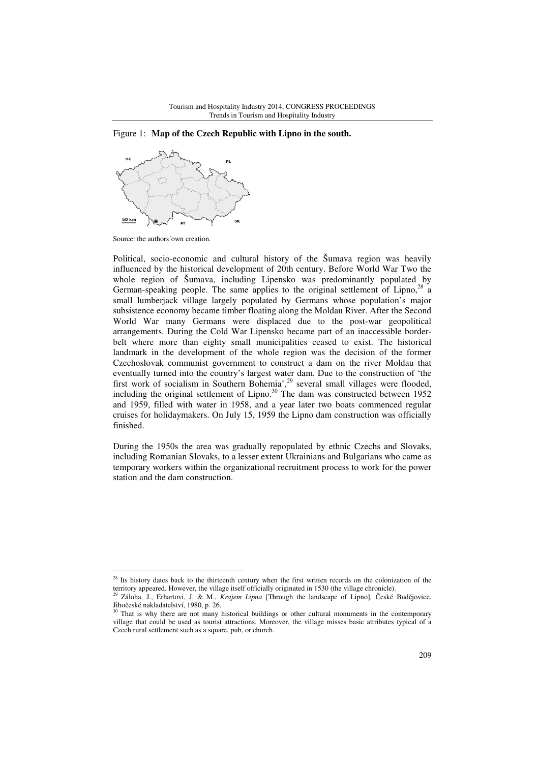



 $\overline{a}$ 

Political, socio-economic and cultural history of the Šumava region was heavily influenced by the historical development of 20th century. Before World War Two the whole region of Šumava, including Lipensko was predominantly populated by German-speaking people. The same applies to the original settlement of Lipno,<sup>28</sup> a small lumberjack village largely populated by Germans whose population's major subsistence economy became timber floating along the Moldau River. After the Second World War many Germans were displaced due to the post-war geopolitical arrangements. During the Cold War Lipensko became part of an inaccessible borderbelt where more than eighty small municipalities ceased to exist. The historical landmark in the development of the whole region was the decision of the former Czechoslovak communist government to construct a dam on the river Moldau that eventually turned into the country's largest water dam. Due to the construction of 'the first work of socialism in Southern Bohemia',<sup>29</sup> several small villages were flooded, including the original settlement of Lipno. $30$  The dam was constructed between 1952 and 1959, filled with water in 1958, and a year later two boats commenced regular cruises for holidaymakers. On July 15, 1959 the Lipno dam construction was officially finished.

During the 1950s the area was gradually repopulated by ethnic Czechs and Slovaks, including Romanian Slovaks, to a lesser extent Ukrainians and Bulgarians who came as temporary workers within the organizational recruitment process to work for the power station and the dam construction.

Source: the authors´own creation.

<sup>&</sup>lt;sup>28</sup> Its history dates back to the thirteenth century when the first written records on the colonization of the territory appeared. However, the village itself officially originated in 1530 (the village chronicle).

<sup>29</sup> Záloha, J., Erhartovi, J. & M., *Krajem Lipna* [Through the landscape of Lipno]*,* České Budějovice, Jihočeské nakladatelství, 1980, p. 26.

 $30$  That is why there are not many historical buildings or other cultural monuments in the contemporary village that could be used as tourist attractions. Moreover, the village misses basic attributes typical of a Czech rural settlement such as a square, pub, or church.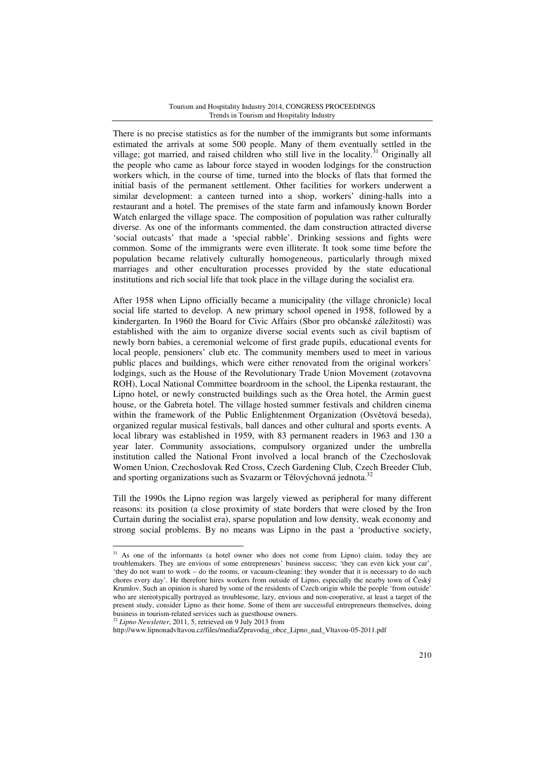There is no precise statistics as for the number of the immigrants but some informants estimated the arrivals at some 500 people. Many of them eventually settled in the village; got married, and raised children who still live in the locality.<sup>31</sup> Originally all the people who came as labour force stayed in wooden lodgings for the construction workers which, in the course of time, turned into the blocks of flats that formed the initial basis of the permanent settlement. Other facilities for workers underwent a similar development: a canteen turned into a shop, workers' dining-halls into a restaurant and a hotel. The premises of the state farm and infamously known Border Watch enlarged the village space. The composition of population was rather culturally diverse. As one of the informants commented, the dam construction attracted diverse 'social outcasts' that made a 'special rabble'. Drinking sessions and fights were common. Some of the immigrants were even illiterate. It took some time before the population became relatively culturally homogeneous, particularly through mixed marriages and other enculturation processes provided by the state educational institutions and rich social life that took place in the village during the socialist era.

After 1958 when Lipno officially became a municipality (the village chronicle) local social life started to develop. A new primary school opened in 1958, followed by a kindergarten. In 1960 the Board for Civic Affairs (Sbor pro občanské záležitosti) was established with the aim to organize diverse social events such as civil baptism of newly born babies, a ceremonial welcome of first grade pupils, educational events for local people, pensioners' club etc. The community members used to meet in various public places and buildings, which were either renovated from the original workers' lodgings, such as the House of the Revolutionary Trade Union Movement (zotavovna ROH), Local National Committee boardroom in the school, the Lipenka restaurant, the Lipno hotel, or newly constructed buildings such as the Orea hotel, the Armin guest house, or the Gabreta hotel. The village hosted summer festivals and children cinema within the framework of the Public Enlightenment Organization (Osvětová beseda), organized regular musical festivals, ball dances and other cultural and sports events. A local library was established in 1959, with 83 permanent readers in 1963 and 130 a year later. Community associations, compulsory organized under the umbrella institution called the National Front involved a local branch of the Czechoslovak Women Union, Czechoslovak Red Cross, Czech Gardening Club, Czech Breeder Club, and sporting organizations such as Svazarm or Tělovýchovná jednota.<sup>32</sup>

Till the 1990s the Lipno region was largely viewed as peripheral for many different reasons: its position (a close proximity of state borders that were closed by the Iron Curtain during the socialist era), sparse population and low density, weak economy and strong social problems. By no means was Lipno in the past a 'productive society,

http://www.lipnonadvltavou.cz/files/media/Zpravodaj\_obce\_Lipno\_nad\_Vltavou-05-2011.pdf

 $31$  As one of the informants (a hotel owner who does not come from Lipno) claim, today they are troublemakers. They are envious of some entrepreneurs' business success; 'they can even kick your car', 'they do not want to work – do the rooms, or vacuum-cleaning; they wonder that it is necessary to do such chores every day'. He therefore hires workers from outside of Lipno, especially the nearby town of Český Krumlov. Such an opinion is shared by some of the residents of Czech origin while the people 'from outside' who are stereotypically portrayed as troublesome, lazy, envious and non-cooperative, at least a target of the present study, consider Lipno as their home. Some of them are successful entrepreneurs themselves, doing business in tourism-related services such as guesthouse owners. <sup>32</sup> *Lipno Newsletter*, 2011, 5, retrieved on 9 July 2013 from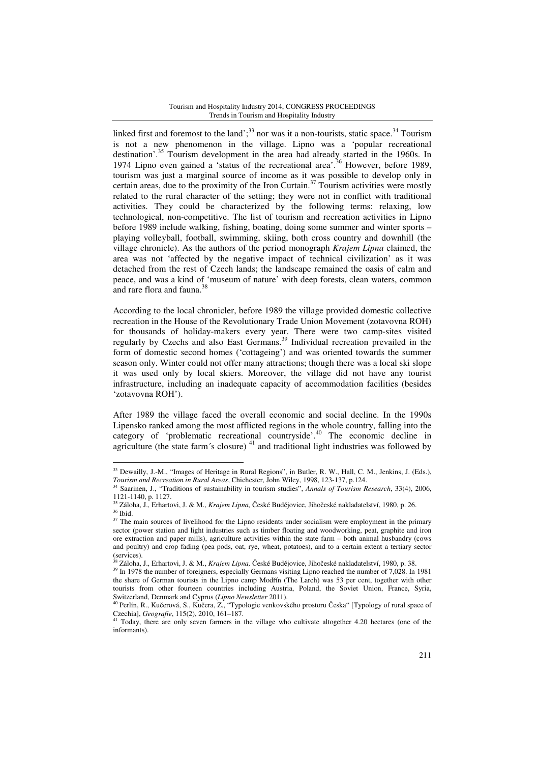linked first and foremost to the land';<sup>33</sup> nor was it a non-tourists, static space.<sup>34</sup> Tourism is not a new phenomenon in the village. Lipno was a 'popular recreational destination'.<sup>35</sup> Tourism development in the area had already started in the 1960s. In 1974 Lipno even gained a 'status of the recreational area'.<sup>36</sup> However, before 1989, tourism was just a marginal source of income as it was possible to develop only in certain areas, due to the proximity of the Iron Curtain.<sup>37</sup> Tourism activities were mostly related to the rural character of the setting; they were not in conflict with traditional activities. They could be characterized by the following terms: relaxing, low technological, non-competitive. The list of tourism and recreation activities in Lipno before 1989 include walking, fishing, boating, doing some summer and winter sports – playing volleyball, football, swimming, skiing, both cross country and downhill (the village chronicle). As the authors of the period monograph *Krajem Lipna* claimed, the area was not 'affected by the negative impact of technical civilization' as it was detached from the rest of Czech lands; the landscape remained the oasis of calm and peace, and was a kind of 'museum of nature' with deep forests, clean waters, common and rare flora and fauna.<sup>38</sup>

According to the local chronicler, before 1989 the village provided domestic collective recreation in the House of the Revolutionary Trade Union Movement (zotavovna ROH) for thousands of holiday-makers every year. There were two camp-sites visited regularly by Czechs and also East Germans.<sup>39</sup> Individual recreation prevailed in the form of domestic second homes ('cottageing') and was oriented towards the summer season only. Winter could not offer many attractions; though there was a local ski slope it was used only by local skiers. Moreover, the village did not have any tourist infrastructure, including an inadequate capacity of accommodation facilities (besides 'zotavovna ROH').

After 1989 the village faced the overall economic and social decline. In the 1990s Lipensko ranked among the most afflicted regions in the whole country, falling into the category of 'problematic recreational countryside'.<sup>40</sup> The economic decline in agriculture (the state farm's closure)<sup>41</sup> and traditional light industries was followed by

<sup>&</sup>lt;sup>33</sup> Dewailly, J.-M., "Images of Heritage in Rural Regions", in Butler, R. W., Hall, C. M., Jenkins, J. (Eds.), *Tourism and Recreation in Rural Areas*, Chichester, John Wiley, 1998, 123-137, p.124.

<sup>34</sup> Saarinen, J., "Traditions of sustainability in tourism studies", *Annals of Tourism Research*, 33(4), 2006, 1121-1140, p. 1127.

<sup>35</sup> Záloha, J., Erhartovi, J. & M., *Krajem Lipna,* České Budějovice, Jihočeské nakladatelství, 1980, p. 26.  $36$  Ibid.

 $37$  The main sources of livelihood for the Lipno residents under socialism were employment in the primary sector (power station and light industries such as timber floating and woodworking, peat, graphite and iron ore extraction and paper mills), agriculture activities within the state farm – both animal husbandry (cows and poultry) and crop fading (pea pods, oat, rye, wheat, potatoes), and to a certain extent a tertiary sector (services).

<sup>38</sup> Záloha, J., Erhartovi, J. & M., *Krajem Lipna,* České Budějovice, Jihočeské nakladatelství, 1980, p. 38.

<sup>&</sup>lt;sup>39</sup> In 1978 the number of foreigners, especially Germans visiting Lipno reached the number of 7,028. In 1981 the share of German tourists in the Lipno camp Modřín (The Larch) was 53 per cent, together with other tourists from other fourteen countries including Austria, Poland, the Soviet Union, France, Syria,

Switzerland, Denmark and Cyprus (*Lipno Newsletter* 2011). <sup>40</sup> Perlín, R., Kučerová, S., Kučera, Z., "Typologie venkovského prostoru Česka" [Typology of rural space of Czechia], *Geografie*, 115(2), 2010, 161-187.

<sup>41</sup> Today, there are only seven farmers in the village who cultivate altogether 4.20 hectares (one of the informants).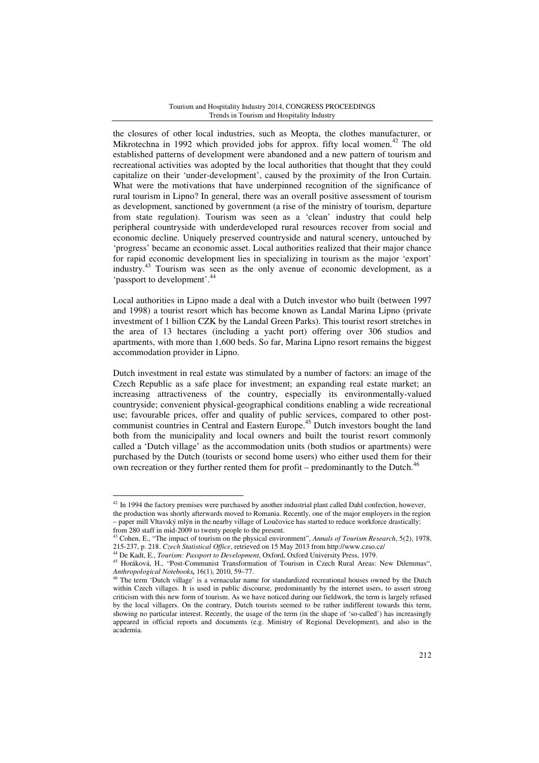the closures of other local industries, such as Meopta, the clothes manufacturer, or Mikrotechna in 1992 which provided jobs for approx. fifty local women.<sup>42</sup> The old established patterns of development were abandoned and a new pattern of tourism and recreational activities was adopted by the local authorities that thought that they could capitalize on their 'under-development', caused by the proximity of the Iron Curtain. What were the motivations that have underpinned recognition of the significance of rural tourism in Lipno? In general, there was an overall positive assessment of tourism as development, sanctioned by government (a rise of the ministry of tourism, departure from state regulation). Tourism was seen as a 'clean' industry that could help peripheral countryside with underdeveloped rural resources recover from social and economic decline. Uniquely preserved countryside and natural scenery, untouched by 'progress' became an economic asset. Local authorities realized that their major chance for rapid economic development lies in specializing in tourism as the major 'export' industry.<sup>43</sup> Tourism was seen as the only avenue of economic development, as a 'passport to development'.<sup>44</sup>

Local authorities in Lipno made a deal with a Dutch investor who built (between 1997 and 1998) a tourist resort which has become known as Landal Marina Lipno (private investment of 1 billion CZK by the Landal Green Parks). This tourist resort stretches in the area of 13 hectares (including a yacht port) offering over 306 studios and apartments, with more than 1,600 beds. So far, Marina Lipno resort remains the biggest accommodation provider in Lipno.

Dutch investment in real estate was stimulated by a number of factors: an image of the Czech Republic as a safe place for investment; an expanding real estate market; an increasing attractiveness of the country, especially its environmentally-valued countryside; convenient physical-geographical conditions enabling a wide recreational use; favourable prices, offer and quality of public services, compared to other postcommunist countries in Central and Eastern Europe.<sup>45</sup> Dutch investors bought the land both from the municipality and local owners and built the tourist resort commonly called a 'Dutch village' as the accommodation units (both studios or apartments) were purchased by the Dutch (tourists or second home users) who either used them for their own recreation or they further rented them for profit – predominantly to the Dutch.<sup>46</sup>

 $42$  In 1994 the factory premises were purchased by another industrial plant called Dahl confection, however, the production was shortly afterwards moved to Romania. Recently, one of the major employers in the region – paper mill Vltavský mlýn in the nearby village of Loučovice has started to reduce workforce drastically; from 280 staff in mid-2009 to twenty people to the present.

<sup>43</sup> Cohen, E., "The impact of tourism on the physical environment", *Annals of Tourism Research*, 5(2), 1978, 215-237, p. 218. *Czech Statistical Office*, retrieved on 15 May 2013 from http://www.czso.cz/

<sup>44</sup> De Kadt, E., *Tourism: Passport to Development*, Oxford, Oxford University Press, 1979.

<sup>45</sup> Horáková, H., "Post-Communist Transformation of Tourism in Czech Rural Areas: New Dilemmas", *Anthropological Notebooks,* 16(1), 2010, 59–77.

<sup>46</sup> The term 'Dutch village' is a vernacular name for standardized recreational houses owned by the Dutch within Czech villages. It is used in public discourse, predominantly by the internet users, to assert strong criticism with this new form of tourism. As we have noticed during our fieldwork, the term is largely refused by the local villagers. On the contrary, Dutch tourists seemed to be rather indifferent towards this term, showing no particular interest. Recently, the usage of the term (in the shape of 'so-called') has increasingly appeared in official reports and documents (e.g. Ministry of Regional Development), and also in the academia.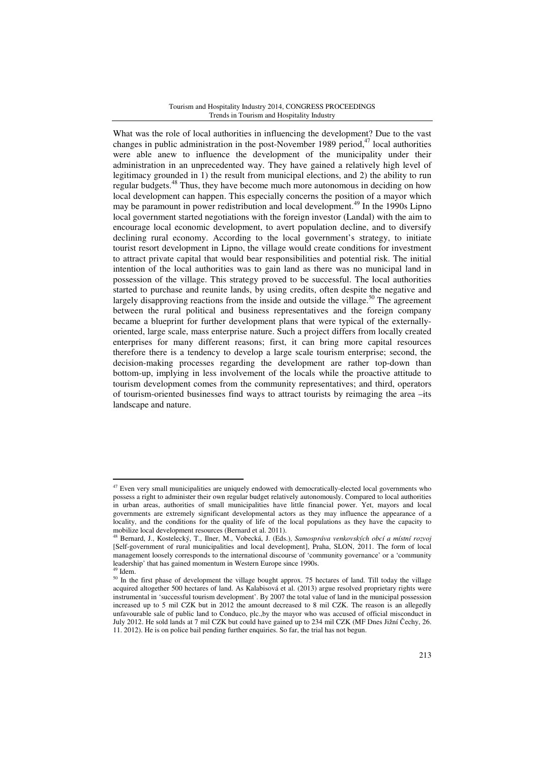What was the role of local authorities in influencing the development? Due to the vast changes in public administration in the post-November 1989 period,<sup>47</sup> local authorities were able anew to influence the development of the municipality under their administration in an unprecedented way. They have gained a relatively high level of legitimacy grounded in 1) the result from municipal elections, and 2) the ability to run regular budgets.<sup>48</sup> Thus, they have become much more autonomous in deciding on how local development can happen. This especially concerns the position of a mayor which may be paramount in power redistribution and local development.<sup>49</sup> In the 1990s Lipno local government started negotiations with the foreign investor (Landal) with the aim to encourage local economic development, to avert population decline, and to diversify declining rural economy. According to the local government's strategy, to initiate tourist resort development in Lipno, the village would create conditions for investment to attract private capital that would bear responsibilities and potential risk. The initial intention of the local authorities was to gain land as there was no municipal land in possession of the village. This strategy proved to be successful. The local authorities started to purchase and reunite lands, by using credits, often despite the negative and largely disapproving reactions from the inside and outside the village.<sup>50</sup> The agreement between the rural political and business representatives and the foreign company became a blueprint for further development plans that were typical of the externallyoriented, large scale, mass enterprise nature. Such a project differs from locally created enterprises for many different reasons; first, it can bring more capital resources therefore there is a tendency to develop a large scale tourism enterprise; second, the decision-making processes regarding the development are rather top-down than bottom-up, implying in less involvement of the locals while the proactive attitude to tourism development comes from the community representatives; and third, operators of tourism-oriented businesses find ways to attract tourists by reimaging the area –its landscape and nature.

 $47$  Even very small municipalities are uniquely endowed with democratically-elected local governments who possess a right to administer their own regular budget relatively autonomously. Compared to local authorities in urban areas, authorities of small municipalities have little financial power. Yet, mayors and local governments are extremely significant developmental actors as they may influence the appearance of a locality, and the conditions for the quality of life of the local populations as they have the capacity to mobilize local development resources (Bernard et al. 2011).

<sup>48</sup> Bernard, J., Kostelecký, T., Ilner, M., Vobecká, J. (Eds.), *Samospráva venkovských obcí a místní rozvoj*  [Self-government of rural municipalities and local development], Praha, SLON, 2011. The form of local management loosely corresponds to the international discourse of 'community governance' or a 'community leadership' that has gained momentum in Western Europe since 1990s.

 $49$  Idem.

<sup>&</sup>lt;sup>50</sup> In the first phase of development the village bought approx. 75 hectares of land. Till today the village acquired altogether 500 hectares of land. As Kalabisová et al. (2013) argue resolved proprietary rights were instrumental in 'successful tourism development'. By 2007 the total value of land in the municipal possession increased up to 5 mil CZK but in 2012 the amount decreased to 8 mil CZK. The reason is an allegedly unfavourable sale of public land to Conduco, plc.,by the mayor who was accused of official misconduct in July 2012. He sold lands at 7 mil CZK but could have gained up to 234 mil CZK (MF Dnes Jižní Čechy, 26. 11. 2012). He is on police bail pending further enquiries. So far, the trial has not begun.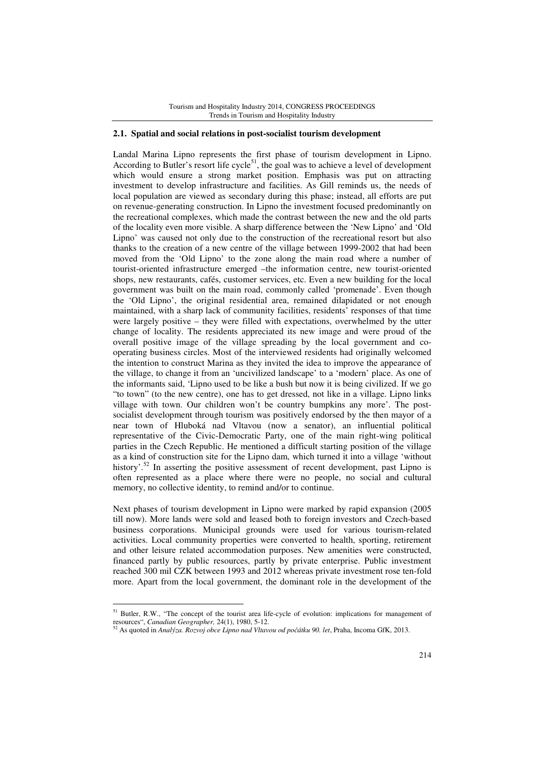### **2.1. Spatial and social relations in post-socialist tourism development**

Landal Marina Lipno represents the first phase of tourism development in Lipno. According to Butler's resort life cycle<sup>51</sup>, the goal was to achieve a level of development which would ensure a strong market position. Emphasis was put on attracting investment to develop infrastructure and facilities. As Gill reminds us, the needs of local population are viewed as secondary during this phase; instead, all efforts are put on revenue-generating construction. In Lipno the investment focused predominantly on the recreational complexes, which made the contrast between the new and the old parts of the locality even more visible. A sharp difference between the 'New Lipno' and 'Old Lipno' was caused not only due to the construction of the recreational resort but also thanks to the creation of a new centre of the village between 1999-2002 that had been moved from the 'Old Lipno' to the zone along the main road where a number of tourist-oriented infrastructure emerged –the information centre, new tourist-oriented shops, new restaurants, cafés, customer services, etc. Even a new building for the local government was built on the main road, commonly called 'promenade'. Even though the 'Old Lipno', the original residential area, remained dilapidated or not enough maintained, with a sharp lack of community facilities, residents' responses of that time were largely positive – they were filled with expectations, overwhelmed by the utter change of locality. The residents appreciated its new image and were proud of the overall positive image of the village spreading by the local government and cooperating business circles. Most of the interviewed residents had originally welcomed the intention to construct Marina as they invited the idea to improve the appearance of the village, to change it from an 'uncivilized landscape' to a 'modern' place. As one of the informants said, 'Lipno used to be like a bush but now it is being civilized. If we go "to town" (to the new centre), one has to get dressed, not like in a village. Lipno links village with town. Our children won't be country bumpkins any more'. The postsocialist development through tourism was positively endorsed by the then mayor of a near town of Hluboká nad Vltavou (now a senator), an influential political representative of the Civic-Democratic Party, one of the main right-wing political parties in the Czech Republic. He mentioned a difficult starting position of the village as a kind of construction site for the Lipno dam, which turned it into a village 'without history'.<sup>52</sup> In asserting the positive assessment of recent development, past Lipno is often represented as a place where there were no people, no social and cultural memory, no collective identity, to remind and/or to continue.

Next phases of tourism development in Lipno were marked by rapid expansion (2005 till now). More lands were sold and leased both to foreign investors and Czech-based business corporations. Municipal grounds were used for various tourism-related activities. Local community properties were converted to health, sporting, retirement and other leisure related accommodation purposes. New amenities were constructed, financed partly by public resources, partly by private enterprise. Public investment reached 300 mil CZK between 1993 and 2012 whereas private investment rose ten-fold more. Apart from the local government, the dominant role in the development of the

<sup>51</sup> Butler, R.W., "The concept of the tourist area life-cycle of evolution: implications for management of resources", *Canadian Geographer,* 24(1), 1980, 5-12.

<sup>52</sup> As quoted in *Analýza. Rozvoj obce Lipno nad Vltavou od po*č*átku 90. let*, Praha, Incoma GfK, 2013.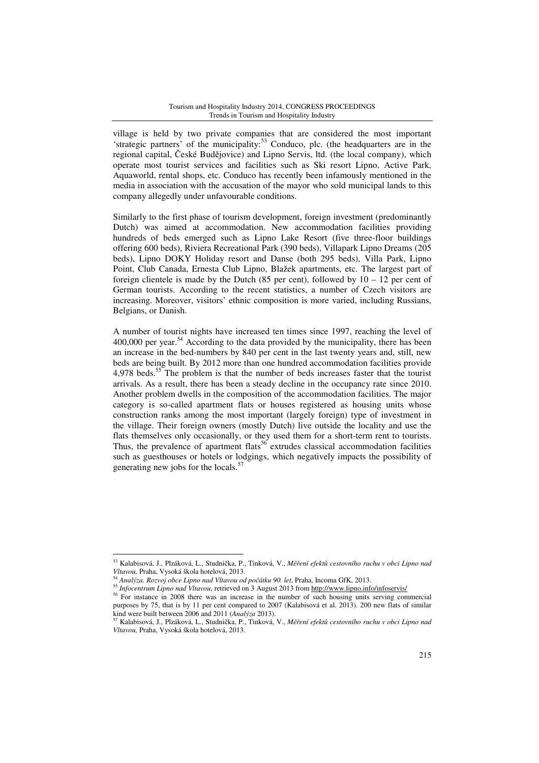village is held by two private companies that are considered the most important 'strategic partners' of the municipality:<sup>53</sup> Conduco, plc. (the headquarters are in the regional capital, České Budějovice) and Lipno Servis, ltd. (the local company), which operate most tourist services and facilities such as Ski resort Lipno, Active Park, Aquaworld, rental shops, etc. Conduco has recently been infamously mentioned in the media in association with the accusation of the mayor who sold municipal lands to this company allegedly under unfavourable conditions.

Similarly to the first phase of tourism development, foreign investment (predominantly Dutch) was aimed at accommodation. New accommodation facilities providing hundreds of beds emerged such as Lipno Lake Resort (five three-floor buildings offering 600 beds), Riviera Recreational Park (390 beds), Villapark Lipno Dreams (205 beds), Lipno DOKY Holiday resort and Danse (both 295 beds), Villa Park, Lipno Point, Club Canada, Ernesta Club Lipno, Blažek apartments, etc. The largest part of foreign clientele is made by the Dutch (85 per cent), followed by  $10 - 12$  per cent of German tourists. According to the recent statistics, a number of Czech visitors are increasing. Moreover, visitors' ethnic composition is more varied, including Russians, Belgians, or Danish.

A number of tourist nights have increased ten times since 1997, reaching the level of  $400,000$  per year.<sup>54</sup> According to the data provided by the municipality, there has been an increase in the bed-numbers by 840 per cent in the last twenty years and, still, new beds are being built. By 2012 more than one hundred accommodation facilities provide 4,978 beds.<sup>55</sup> The problem is that the number of beds increases faster that the tourist arrivals. As a result, there has been a steady decline in the occupancy rate since 2010. Another problem dwells in the composition of the accommodation facilities. The major category is so-called apartment flats or houses registered as housing units whose construction ranks among the most important (largely foreign) type of investment in the village. Their foreign owners (mostly Dutch) live outside the locality and use the flats themselves only occasionally, or they used them for a short-term rent to tourists. Thus, the prevalence of apartment flats<sup>56</sup> extrudes classical accommodation facilities such as guesthouses or hotels or lodgings, which negatively impacts the possibility of generating new jobs for the locals. $5^{\circ}$ 

<sup>53</sup> Kalabisová, J., Plzáková, L., Studnička, P., Tinková, V., *M*ěř*ení efekt*ů *cestovního ruchu v obci Lipno nad Vltavou,* Praha, Vysoká škola hotelová, 2013.

<sup>54</sup> *Analýza. Rozvoj obce Lipno nad Vltavou od po*č*átku 90. let*, Praha, Incoma GfK, 2013.

<sup>55</sup> *Infocentrum Lipno nad Vltavou*, retrieved on 3 August 2013 from http://www.lipno.info/infoservis/

<sup>&</sup>lt;sup>56</sup> For instance in 2008 there was an increase in the number of such housing units serving commercial purposes by 75, that is by 11 per cent compared to 2007 (Kalabisová et al. 2013). 200 new flats of similar kind were built between 2006 and 2011 (*Analýza* 2013).

<sup>57</sup> Kalabisová, J., Plzáková, L., Studnička, P., Tinková, V., *M*ěř*ení efekt*ů *cestovního ruchu v obci Lipno nad Vltavou,* Praha, Vysoká škola hotelová, 2013.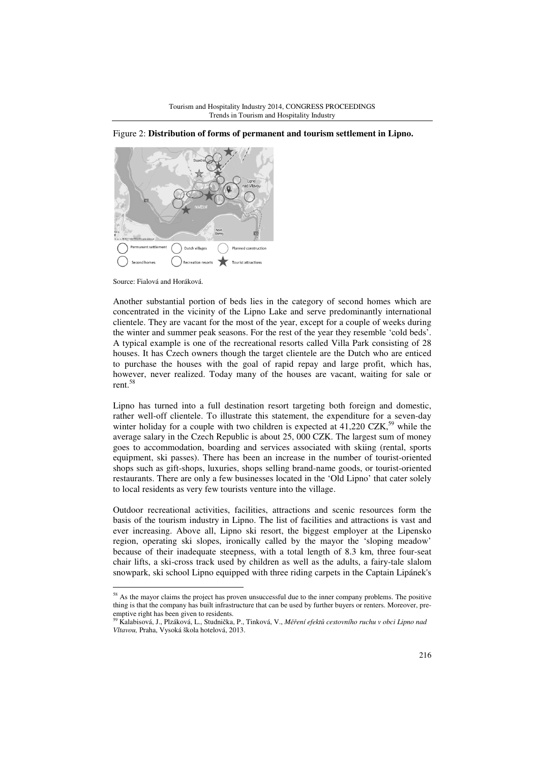

Figure 2: **Distribution of forms of permanent and tourism settlement in Lipno.** 

 $\overline{a}$ 

Another substantial portion of beds lies in the category of second homes which are concentrated in the vicinity of the Lipno Lake and serve predominantly international clientele. They are vacant for the most of the year, except for a couple of weeks during the winter and summer peak seasons. For the rest of the year they resemble 'cold beds'. A typical example is one of the recreational resorts called Villa Park consisting of 28 houses. It has Czech owners though the target clientele are the Dutch who are enticed to purchase the houses with the goal of rapid repay and large profit, which has, however, never realized. Today many of the houses are vacant, waiting for sale or rent.<sup>58</sup>

Lipno has turned into a full destination resort targeting both foreign and domestic, rather well-off clientele. To illustrate this statement, the expenditure for a seven-day winter holiday for a couple with two children is expected at  $41,220$  CZK,<sup>59</sup> while the average salary in the Czech Republic is about 25, 000 CZK. The largest sum of money goes to accommodation, boarding and services associated with skiing (rental, sports equipment, ski passes). There has been an increase in the number of tourist-oriented shops such as gift-shops, luxuries, shops selling brand-name goods, or tourist-oriented restaurants. There are only a few businesses located in the 'Old Lipno' that cater solely to local residents as very few tourists venture into the village.

Outdoor recreational activities, facilities, attractions and scenic resources form the basis of the tourism industry in Lipno. The list of facilities and attractions is vast and ever increasing. Above all, Lipno ski resort, the biggest employer at the Lipensko region, operating ski slopes, ironically called by the mayor the 'sloping meadow' because of their inadequate steepness, with a total length of 8.3 km, three four-seat chair lifts, a ski-cross track used by children as well as the adults, a fairy-tale slalom snowpark, ski school Lipno equipped with three riding carpets in the Captain Lipánek's

Source: Fialová and Horáková.

<sup>&</sup>lt;sup>58</sup> As the mayor claims the project has proven unsuccessful due to the inner company problems. The positive thing is that the company has built infrastructure that can be used by further buyers or renters. Moreover, preemptive right has been given to residents.

<sup>59</sup> Kalabisová, J., Plzáková, L., Studnička, P., Tinková, V., *M*ěř*ení efekt*ů *cestovního ruchu v obci Lipno nad Vltavou,* Praha, Vysoká škola hotelová, 2013.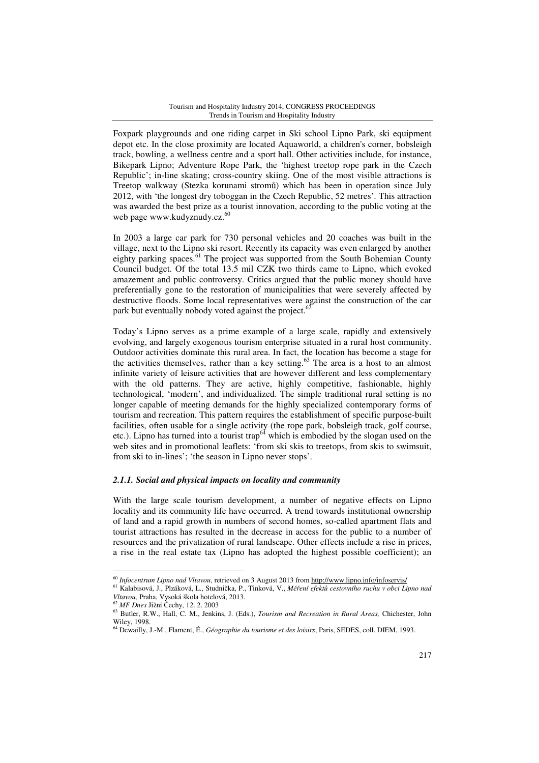Foxpark playgrounds and one riding carpet in Ski school Lipno Park, ski equipment depot etc. In the close proximity are located Aquaworld, a children's corner, bobsleigh track, bowling, a wellness centre and a sport hall. Other activities include, for instance, Bikepark Lipno; Adventure Rope Park, the 'highest treetop rope park in the Czech Republic'; in-line skating; cross-country skiing. One of the most visible attractions is Treetop walkway (Stezka korunami stromů) which has been in operation since July 2012, with 'the longest dry toboggan in the Czech Republic, 52 metres'. This attraction was awarded the best prize as a tourist innovation, according to the public voting at the web page www.kudyznudy.cz.<sup>60</sup>

In 2003 a large car park for 730 personal vehicles and 20 coaches was built in the village, next to the Lipno ski resort. Recently its capacity was even enlarged by another eighty parking spaces.<sup>61</sup> The project was supported from the South Bohemian County Council budget. Of the total 13.5 mil CZK two thirds came to Lipno, which evoked amazement and public controversy. Critics argued that the public money should have preferentially gone to the restoration of municipalities that were severely affected by destructive floods. Some local representatives were against the construction of the car park but eventually nobody voted against the project. $62$ 

Today's Lipno serves as a prime example of a large scale, rapidly and extensively evolving, and largely exogenous tourism enterprise situated in a rural host community. Outdoor activities dominate this rural area. In fact, the location has become a stage for the activities themselves, rather than a key setting.<sup>63</sup> The area is a host to an almost infinite variety of leisure activities that are however different and less complementary with the old patterns. They are active, highly competitive, fashionable, highly technological, 'modern', and individualized. The simple traditional rural setting is no longer capable of meeting demands for the highly specialized contemporary forms of tourism and recreation. This pattern requires the establishment of specific purpose-built facilities, often usable for a single activity (the rope park, bobsleigh track, golf course, etc.). Lipno has turned into a tourist trap<sup> $64$ </sup> which is embodied by the slogan used on the web sites and in promotional leaflets: 'from ski skis to treetops, from skis to swimsuit, from ski to in-lines'; 'the season in Lipno never stops'.

### *2.1.1. Social and physical impacts on locality and community*

With the large scale tourism development, a number of negative effects on Lipno locality and its community life have occurred. A trend towards institutional ownership of land and a rapid growth in numbers of second homes, so-called apartment flats and tourist attractions has resulted in the decrease in access for the public to a number of resources and the privatization of rural landscape. Other effects include a rise in prices, a rise in the real estate tax (Lipno has adopted the highest possible coefficient); an

<sup>&</sup>lt;sup>60</sup> Infocentrum Lipno nad Vltavou, retrieved on 3 August 2013 from http://www.lipno.info/infoservis/

<sup>61</sup> Kalabisová, J., Plzáková, L., Studnička, P., Tinková, V., *M*ěř*ení efekt*ů *cestovního ruchu v obci Lipno nad Vltavou,* Praha, Vysoká škola hotelová, 2013.

<sup>62</sup> *MF Dnes* Jižní Čechy, 12. 2. 2003

<sup>63</sup> Butler, R.W., Hall, C. M., Jenkins, J. (Eds.), *Tourism and Recreation in Rural Areas,* Chichester, John Wiley, 1998.

<sup>64</sup> Dewailly, J.-M., Flament, É., *Géographie du tourisme et des loisirs*, Paris, SEDES, coll. DIEM, 1993.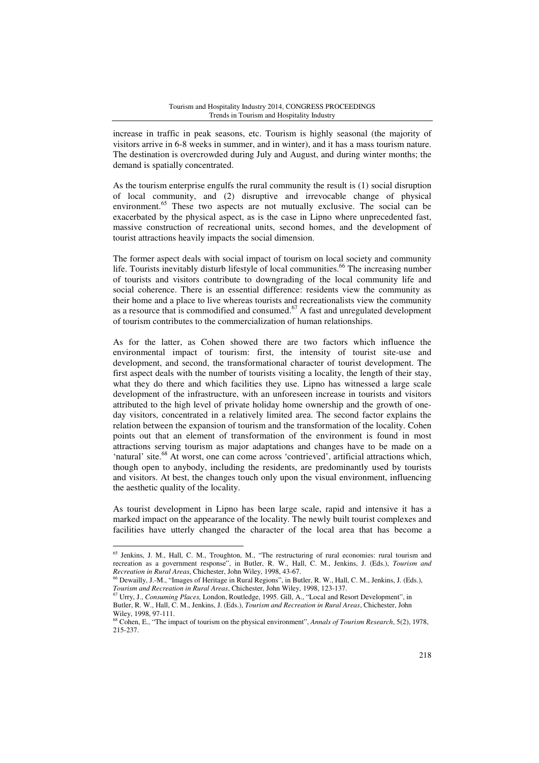increase in traffic in peak seasons, etc. Tourism is highly seasonal (the majority of visitors arrive in 6-8 weeks in summer, and in winter), and it has a mass tourism nature. The destination is overcrowded during July and August, and during winter months; the demand is spatially concentrated.

As the tourism enterprise engulfs the rural community the result is (1) social disruption of local community, and (2) disruptive and irrevocable change of physical environment.<sup>65</sup> These two aspects are not mutually exclusive. The social can be exacerbated by the physical aspect, as is the case in Lipno where unprecedented fast, massive construction of recreational units, second homes, and the development of tourist attractions heavily impacts the social dimension.

The former aspect deals with social impact of tourism on local society and community life. Tourists inevitably disturb lifestyle of local communities.<sup>66</sup> The increasing number of tourists and visitors contribute to downgrading of the local community life and social coherence. There is an essential difference: residents view the community as their home and a place to live whereas tourists and recreationalists view the community as a resource that is commodified and consumed.<sup>67</sup> A fast and unregulated development of tourism contributes to the commercialization of human relationships.

As for the latter, as Cohen showed there are two factors which influence the environmental impact of tourism: first, the intensity of tourist site-use and development, and second, the transformational character of tourist development. The first aspect deals with the number of tourists visiting a locality, the length of their stay, what they do there and which facilities they use. Lipno has witnessed a large scale development of the infrastructure, with an unforeseen increase in tourists and visitors attributed to the high level of private holiday home ownership and the growth of oneday visitors, concentrated in a relatively limited area. The second factor explains the relation between the expansion of tourism and the transformation of the locality. Cohen points out that an element of transformation of the environment is found in most attractions serving tourism as major adaptations and changes have to be made on a 'natural' site.<sup>68</sup> At worst, one can come across 'contrieved', artificial attractions which, though open to anybody, including the residents, are predominantly used by tourists and visitors. At best, the changes touch only upon the visual environment, influencing the aesthetic quality of the locality.

As tourist development in Lipno has been large scale, rapid and intensive it has a marked impact on the appearance of the locality. The newly built tourist complexes and facilities have utterly changed the character of the local area that has become a

<sup>&</sup>lt;sup>65</sup> Jenkins, J. M., Hall, C. M., Troughton, M., "The restructuring of rural economies: rural tourism and recreation as a government response", in Butler, R. W., Hall, C. M., Jenkins, J. (Eds.), *Tourism and Recreation in Rural Areas*, Chichester, John Wiley, 1998, 43-67.

<sup>66</sup> Dewailly, J.-M., "Images of Heritage in Rural Regions", in Butler, R. W., Hall, C. M., Jenkins, J. (Eds.), *Tourism and Recreation in Rural Areas*, Chichester, John Wiley, 1998, 123-137.

<sup>67</sup> Urry, J., *Consuming Places,* London, Routledge, 1995. Gill, A., "Local and Resort Development", in Butler, R. W., Hall, C. M., Jenkins, J. (Eds.), *Tourism and Recreation in Rural Areas*, Chichester, John Wiley, 1998, 97-111.

<sup>68</sup> Cohen, E., "The impact of tourism on the physical environment", *Annals of Tourism Research*, 5(2), 1978, 215-237.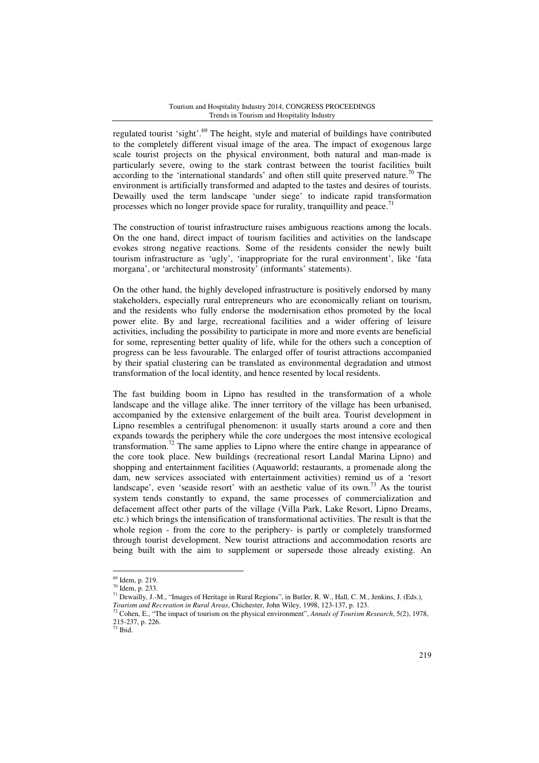regulated tourist 'sight'.<sup>69</sup> The height, style and material of buildings have contributed to the completely different visual image of the area. The impact of exogenous large scale tourist projects on the physical environment, both natural and man-made is particularly severe, owing to the stark contrast between the tourist facilities built according to the 'international standards' and often still quite preserved nature.<sup>70</sup> The environment is artificially transformed and adapted to the tastes and desires of tourists. Dewailly used the term landscape 'under siege' to indicate rapid transformation processes which no longer provide space for rurality, tranquillity and peace.<sup>71</sup>

The construction of tourist infrastructure raises ambiguous reactions among the locals. On the one hand, direct impact of tourism facilities and activities on the landscape evokes strong negative reactions. Some of the residents consider the newly built tourism infrastructure as 'ugly', 'inappropriate for the rural environment', like 'fata morgana', or 'architectural monstrosity' (informants' statements).

On the other hand, the highly developed infrastructure is positively endorsed by many stakeholders, especially rural entrepreneurs who are economically reliant on tourism, and the residents who fully endorse the modernisation ethos promoted by the local power elite. By and large, recreational facilities and a wider offering of leisure activities, including the possibility to participate in more and more events are beneficial for some, representing better quality of life, while for the others such a conception of progress can be less favourable. The enlarged offer of tourist attractions accompanied by their spatial clustering can be translated as environmental degradation and utmost transformation of the local identity, and hence resented by local residents.

The fast building boom in Lipno has resulted in the transformation of a whole landscape and the village alike. The inner territory of the village has been urbanised, accompanied by the extensive enlargement of the built area. Tourist development in Lipno resembles a centrifugal phenomenon: it usually starts around a core and then expands towards the periphery while the core undergoes the most intensive ecological transformation.<sup>72</sup> The same applies to Lipno where the entire change in appearance of the core took place. New buildings (recreational resort Landal Marina Lipno) and shopping and entertainment facilities (Aquaworld; restaurants, a promenade along the dam, new services associated with entertainment activities) remind us of a 'resort landscape', even 'seaside resort' with an aesthetic value of its own.<sup>73</sup> As the tourist system tends constantly to expand, the same processes of commercialization and defacement affect other parts of the village (Villa Park, Lake Resort, Lipno Dreams, etc.) which brings the intensification of transformational activities. The result is that the whole region - from the core to the periphery- is partly or completely transformed through tourist development. New tourist attractions and accommodation resorts are being built with the aim to supplement or supersede those already existing. An

<sup>69</sup> Idem, p. 219.

<sup>70</sup> Idem, p. 233.

<sup>71</sup> Dewailly, J.-M., "Images of Heritage in Rural Regions", in Butler, R. W., Hall, C. M., Jenkins, J. (Eds.),

*Tourism and Recreation in Rural Areas*, Chichester, John Wiley, 1998, 123-137, p. 123.

<sup>72</sup> Cohen, E., "The impact of tourism on the physical environment", *Annals of Tourism Research*, 5(2), 1978, 215-237, p. 226.

 $\frac{27}{73}$  Ibid.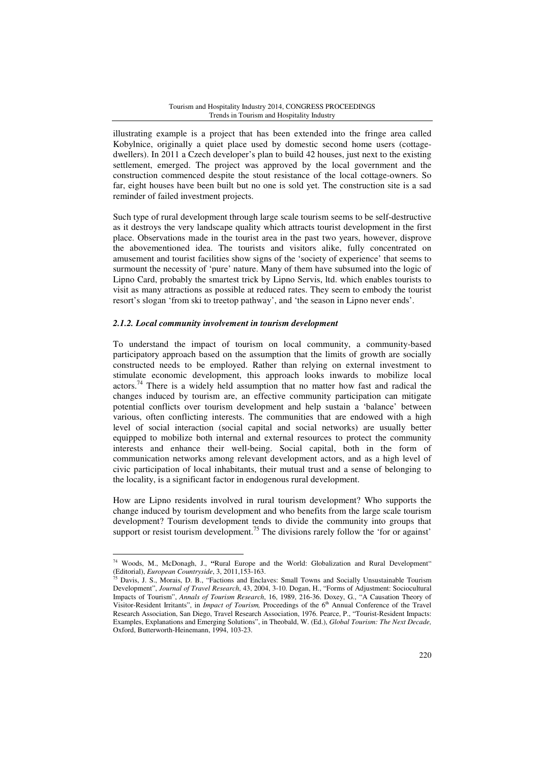illustrating example is a project that has been extended into the fringe area called Kobylnice, originally a quiet place used by domestic second home users (cottagedwellers). In 2011 a Czech developer's plan to build 42 houses, just next to the existing settlement, emerged. The project was approved by the local government and the construction commenced despite the stout resistance of the local cottage-owners. So far, eight houses have been built but no one is sold yet. The construction site is a sad reminder of failed investment projects.

Such type of rural development through large scale tourism seems to be self-destructive as it destroys the very landscape quality which attracts tourist development in the first place. Observations made in the tourist area in the past two years, however, disprove the abovementioned idea. The tourists and visitors alike, fully concentrated on amusement and tourist facilities show signs of the 'society of experience' that seems to surmount the necessity of 'pure' nature. Many of them have subsumed into the logic of Lipno Card, probably the smartest trick by Lipno Servis, ltd. which enables tourists to visit as many attractions as possible at reduced rates. They seem to embody the tourist resort's slogan 'from ski to treetop pathway', and 'the season in Lipno never ends'.

## *2.1.2. Local community involvement in tourism development*

 $\overline{a}$ 

To understand the impact of tourism on local community, a community-based participatory approach based on the assumption that the limits of growth are socially constructed needs to be employed. Rather than relying on external investment to stimulate economic development, this approach looks inwards to mobilize local actors.<sup>74</sup> There is a widely held assumption that no matter how fast and radical the changes induced by tourism are, an effective community participation can mitigate potential conflicts over tourism development and help sustain a 'balance' between various, often conflicting interests. The communities that are endowed with a high level of social interaction (social capital and social networks) are usually better equipped to mobilize both internal and external resources to protect the community interests and enhance their well-being. Social capital, both in the form of communication networks among relevant development actors, and as a high level of civic participation of local inhabitants, their mutual trust and a sense of belonging to the locality, is a significant factor in endogenous rural development.

How are Lipno residents involved in rural tourism development? Who supports the change induced by tourism development and who benefits from the large scale tourism development? Tourism development tends to divide the community into groups that support or resist tourism development.<sup>75</sup> The divisions rarely follow the 'for or against'

<sup>74</sup> Woods, M., McDonagh, J., **"**Rural Europe and the World: Globalization and Rural Development" (Editorial), *European Countryside*, 3, 2011,153-163.

<sup>75</sup> Davis, J. S., Morais, D. B., "Factions and Enclaves: Small Towns and Socially Unsustainable Tourism Development", *Journal of Travel Research*, 43, 2004, 3-10. Dogan, H., "Forms of Adjustment: Sociocultural Impacts of Tourism", *Annals of Tourism Research*, 16, 1989, 216-36. Doxey, G., "A Causation Theory of Visitor-Resident Irritants", in *Impact of Tourism*, Proceedings of the 6<sup>th</sup> Annual Conference of the Travel Research Association, San Diego, Travel Research Association, 1976. Pearce, P., "Tourist-Resident Impacts: Examples, Explanations and Emerging Solutions", in Theobald, W. (Ed.), *Global Tourism: The Next Decade,*  Oxford, Butterworth-Heinemann, 1994, 103-23.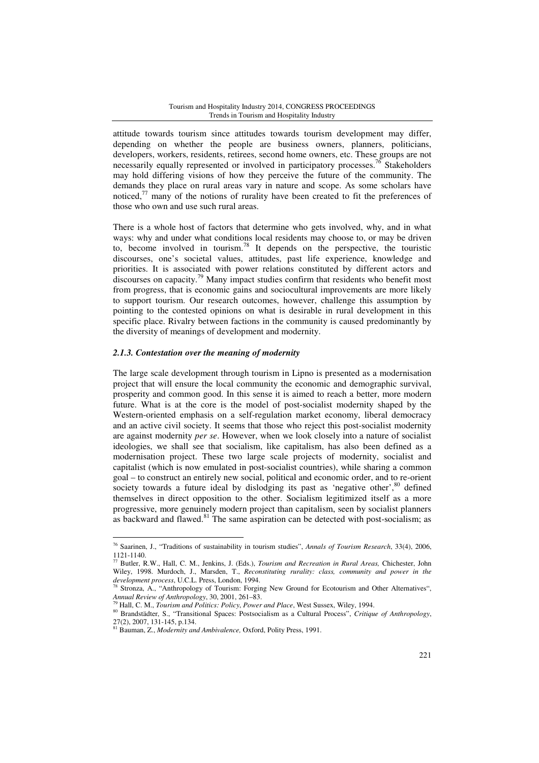attitude towards tourism since attitudes towards tourism development may differ, depending on whether the people are business owners, planners, politicians, developers, workers, residents, retirees, second home owners, etc. These groups are not necessarily equally represented or involved in participatory processes.<sup>76</sup> Stakeholders may hold differing visions of how they perceive the future of the community. The demands they place on rural areas vary in nature and scope. As some scholars have noticed,<sup>77</sup> many of the notions of rurality have been created to fit the preferences of those who own and use such rural areas.

There is a whole host of factors that determine who gets involved, why, and in what ways: why and under what conditions local residents may choose to, or may be driven to, become involved in tourism.<sup>78</sup> It depends on the perspective, the touristic discourses, one's societal values, attitudes, past life experience, knowledge and priorities. It is associated with power relations constituted by different actors and discourses on capacity.<sup>79</sup> Many impact studies confirm that residents who benefit most from progress, that is economic gains and sociocultural improvements are more likely to support tourism. Our research outcomes, however, challenge this assumption by pointing to the contested opinions on what is desirable in rural development in this specific place. Rivalry between factions in the community is caused predominantly by the diversity of meanings of development and modernity.

### *2.1.3. Contestation over the meaning of modernity*

The large scale development through tourism in Lipno is presented as a modernisation project that will ensure the local community the economic and demographic survival, prosperity and common good. In this sense it is aimed to reach a better, more modern future. What is at the core is the model of post-socialist modernity shaped by the Western-oriented emphasis on a self-regulation market economy, liberal democracy and an active civil society. It seems that those who reject this post-socialist modernity are against modernity *per se*. However, when we look closely into a nature of socialist ideologies, we shall see that socialism, like capitalism, has also been defined as a modernisation project. These two large scale projects of modernity, socialist and capitalist (which is now emulated in post-socialist countries), while sharing a common goal – to construct an entirely new social, political and economic order, and to re-orient society towards a future ideal by dislodging its past as 'negative other', <sup>80</sup> defined themselves in direct opposition to the other. Socialism legitimized itself as a more progressive, more genuinely modern project than capitalism, seen by socialist planners as backward and flawed.<sup>81</sup> The same aspiration can be detected with post-socialism; as

<sup>76</sup> Saarinen, J., "Traditions of sustainability in tourism studies", *Annals of Tourism Research*, 33(4), 2006,  $1121-1140.$ 

<sup>77</sup> Butler, R.W., Hall, C. M., Jenkins, J. (Eds.), *Tourism and Recreation in Rural Areas,* Chichester, John Wiley, 1998. Murdoch, J., Marsden, T., *Reconstituting rurality: class, community and power in the development process*, U.C.L. Press, London, 1994.

Stronza, A., "Anthropology of Tourism: Forging New Ground for Ecotourism and Other Alternatives", *Annual Review of Anthropology*, 30, 2001, 261–83.

<sup>79</sup> Hall, C. M., *Tourism and Politics: Policy*, *Power and Place*, West Sussex, Wiley, 1994.

<sup>80</sup> Brandstädter, S., "Transitional Spaces: Postsocialism as a Cultural Process", *Critique of Anthropology*, 27(2), 2007, 131-145, p.134.

<sup>81</sup> Bauman, Z., *Modernity and Ambivalence,* Oxford, Polity Press, 1991.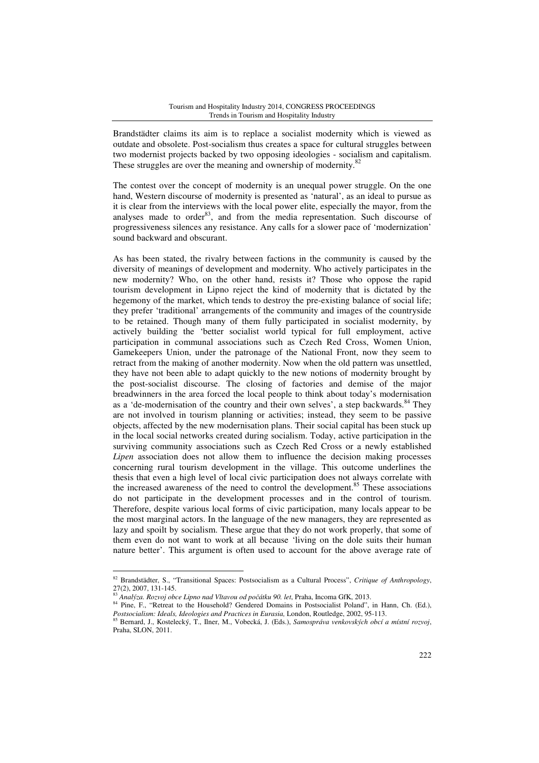Brandstädter claims its aim is to replace a socialist modernity which is viewed as outdate and obsolete. Post-socialism thus creates a space for cultural struggles between two modernist projects backed by two opposing ideologies - socialism and capitalism. These struggles are over the meaning and ownership of modernity.<sup>82</sup>

The contest over the concept of modernity is an unequal power struggle. On the one hand, Western discourse of modernity is presented as 'natural', as an ideal to pursue as it is clear from the interviews with the local power elite, especially the mayor, from the analyses made to order $83$ , and from the media representation. Such discourse of progressiveness silences any resistance. Any calls for a slower pace of 'modernization' sound backward and obscurant.

As has been stated, the rivalry between factions in the community is caused by the diversity of meanings of development and modernity. Who actively participates in the new modernity? Who, on the other hand, resists it? Those who oppose the rapid tourism development in Lipno reject the kind of modernity that is dictated by the hegemony of the market, which tends to destroy the pre-existing balance of social life; they prefer 'traditional' arrangements of the community and images of the countryside to be retained. Though many of them fully participated in socialist modernity, by actively building the 'better socialist world typical for full employment, active participation in communal associations such as Czech Red Cross, Women Union, Gamekeepers Union, under the patronage of the National Front, now they seem to retract from the making of another modernity. Now when the old pattern was unsettled, they have not been able to adapt quickly to the new notions of modernity brought by the post-socialist discourse. The closing of factories and demise of the major breadwinners in the area forced the local people to think about today's modernisation as a 'de-modernisation of the country and their own selves', a step backwards. $84$  They are not involved in tourism planning or activities; instead, they seem to be passive objects, affected by the new modernisation plans. Their social capital has been stuck up in the local social networks created during socialism. Today, active participation in the surviving community associations such as Czech Red Cross or a newly established *Lipen* association does not allow them to influence the decision making processes concerning rural tourism development in the village. This outcome underlines the thesis that even a high level of local civic participation does not always correlate with the increased awareness of the need to control the development.<sup>85</sup> These associations do not participate in the development processes and in the control of tourism. Therefore, despite various local forms of civic participation, many locals appear to be the most marginal actors. In the language of the new managers, they are represented as lazy and spoilt by socialism. These argue that they do not work properly, that some of them even do not want to work at all because 'living on the dole suits their human nature better'. This argument is often used to account for the above average rate of

<sup>82</sup> Brandstädter, S., "Transitional Spaces: Postsocialism as a Cultural Process", *Critique of Anthropology*, 27(2), 2007, 131-145.

<sup>83</sup> *Analýza. Rozvoj obce Lipno nad Vltavou od po*č*átku 90. let*, Praha, Incoma GfK, 2013.

<sup>&</sup>lt;sup>84</sup> Pine, F., "Retreat to the Household? Gendered Domains in Postsocialist Poland", in Hann, Ch. (Ed.), *Postsocialism: Ideals, Ideologies and Practices in Eurasia,* London, Routledge, 2002, 95-113.

<sup>85</sup> Bernard, J., Kostelecký, T., Ilner, M., Vobecká, J. (Eds.), *Samospráva venkovských obcí a místní rozvoj*, Praha, SLON, 2011.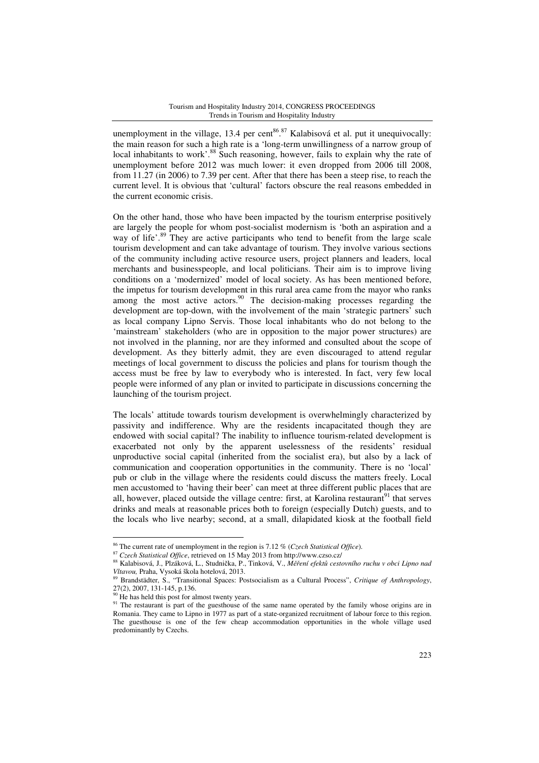unemployment in the village, 13.4 per cent<sup>86 of</sup> Kalabisová et al. put it unequivocally: the main reason for such a high rate is a 'long-term unwillingness of a narrow group of local inhabitants to work'.<sup>88</sup> Such reasoning, however, fails to explain why the rate of unemployment before 2012 was much lower: it even dropped from 2006 till 2008, from 11.27 (in 2006) to 7.39 per cent. After that there has been a steep rise, to reach the current level. It is obvious that 'cultural' factors obscure the real reasons embedded in the current economic crisis.

On the other hand, those who have been impacted by the tourism enterprise positively are largely the people for whom post-socialist modernism is 'both an aspiration and a way of life'.<sup>89</sup> They are active participants who tend to benefit from the large scale tourism development and can take advantage of tourism. They involve various sections of the community including active resource users, project planners and leaders, local merchants and businesspeople, and local politicians. Their aim is to improve living conditions on a 'modernized' model of local society. As has been mentioned before, the impetus for tourism development in this rural area came from the mayor who ranks among the most active actors.<sup>90</sup> The decision-making processes regarding the development are top-down, with the involvement of the main 'strategic partners' such as local company Lipno Servis. Those local inhabitants who do not belong to the 'mainstream' stakeholders (who are in opposition to the major power structures) are not involved in the planning, nor are they informed and consulted about the scope of development. As they bitterly admit, they are even discouraged to attend regular meetings of local government to discuss the policies and plans for tourism though the access must be free by law to everybody who is interested. In fact, very few local people were informed of any plan or invited to participate in discussions concerning the launching of the tourism project.

The locals' attitude towards tourism development is overwhelmingly characterized by passivity and indifference. Why are the residents incapacitated though they are endowed with social capital? The inability to influence tourism-related development is exacerbated not only by the apparent uselessness of the residents' residual unproductive social capital (inherited from the socialist era), but also by a lack of communication and cooperation opportunities in the community. There is no 'local' pub or club in the village where the residents could discuss the matters freely. Local men accustomed to 'having their beer' can meet at three different public places that are all, however, placed outside the village centre: first, at Karolina restaurant<sup>91</sup> that serves drinks and meals at reasonable prices both to foreign (especially Dutch) guests, and to the locals who live nearby; second, at a small, dilapidated kiosk at the football field

<sup>86</sup> The current rate of unemployment in the region is 7.12 % (*Czech Statistical Office*).

<sup>87</sup> *Czech Statistical Office*, retrieved on 15 May 2013 from http://www.czso.cz/

<sup>88</sup> Kalabisová, J., Plzáková, L., Studnička, P., Tinková, V., *M*ěř*ení efekt*ů *cestovního ruchu v obci Lipno nad Vltavou,* Praha, Vysoká škola hotelová, 2013.

<sup>89</sup> Brandstädter, S., "Transitional Spaces: Postsocialism as a Cultural Process", *Critique of Anthropology*, 27(2), 2007, 131-145, p.136.

 $90$  He has held this post for almost twenty years.

<sup>&</sup>lt;sup>91</sup> The restaurant is part of the guesthouse of the same name operated by the family whose origins are in Romania. They came to Lipno in 1977 as part of a state-organized recruitment of labour force to this region. The guesthouse is one of the few cheap accommodation opportunities in the whole village used predominantly by Czechs.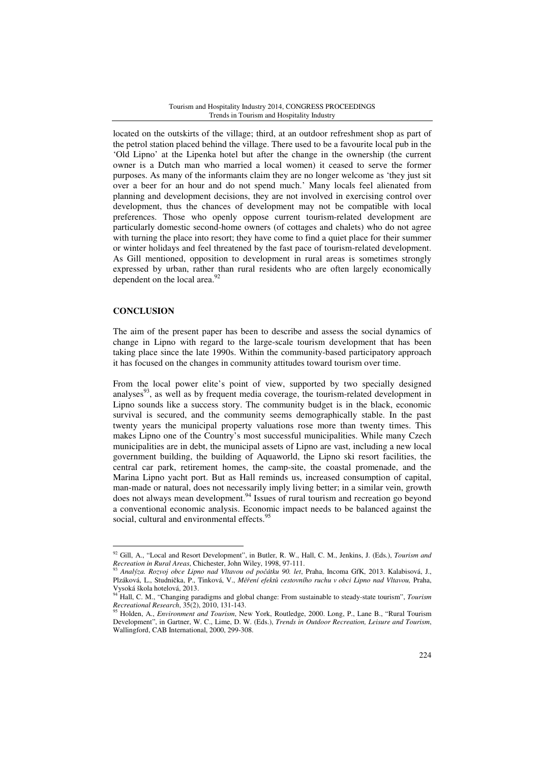located on the outskirts of the village; third, at an outdoor refreshment shop as part of the petrol station placed behind the village. There used to be a favourite local pub in the 'Old Lipno' at the Lipenka hotel but after the change in the ownership (the current owner is a Dutch man who married a local women) it ceased to serve the former purposes. As many of the informants claim they are no longer welcome as 'they just sit over a beer for an hour and do not spend much.' Many locals feel alienated from planning and development decisions, they are not involved in exercising control over development, thus the chances of development may not be compatible with local preferences. Those who openly oppose current tourism-related development are particularly domestic second-home owners (of cottages and chalets) who do not agree with turning the place into resort; they have come to find a quiet place for their summer or winter holidays and feel threatened by the fast pace of tourism-related development. As Gill mentioned, opposition to development in rural areas is sometimes strongly expressed by urban, rather than rural residents who are often largely economically dependent on the local area.<sup>92</sup>

### **CONCLUSION**

 $\overline{a}$ 

The aim of the present paper has been to describe and assess the social dynamics of change in Lipno with regard to the large-scale tourism development that has been taking place since the late 1990s. Within the community-based participatory approach it has focused on the changes in community attitudes toward tourism over time.

From the local power elite's point of view, supported by two specially designed analyses $93$ , as well as by frequent media coverage, the tourism-related development in Lipno sounds like a success story. The community budget is in the black, economic survival is secured, and the community seems demographically stable. In the past twenty years the municipal property valuations rose more than twenty times. This makes Lipno one of the Country's most successful municipalities. While many Czech municipalities are in debt, the municipal assets of Lipno are vast, including a new local government building, the building of Aquaworld, the Lipno ski resort facilities, the central car park, retirement homes, the camp-site, the coastal promenade, and the Marina Lipno yacht port. But as Hall reminds us, increased consumption of capital, man-made or natural, does not necessarily imply living better; in a similar vein, growth does not always mean development.<sup>94</sup> Issues of rural tourism and recreation go beyond a conventional economic analysis. Economic impact needs to be balanced against the social, cultural and environmental effects.<sup>9</sup>

<sup>92</sup> Gill, A., "Local and Resort Development", in Butler, R. W., Hall, C. M., Jenkins, J. (Eds.), *Tourism and Recreation in Rural Areas*, Chichester, John Wiley, 1998, 97-111.

<sup>93</sup> *Analýza. Rozvoj obce Lipno nad Vltavou od po*č*átku 90. let*, Praha, Incoma GfK, 2013. Kalabisová, J., Plzáková, L., Studnička, P., Tinková, V., *M*ěř*ení efekt*ů *cestovního ruchu v obci Lipno nad Vltavou,* Praha, Vysoká škola hotelová, 2013.

<sup>94</sup> Hall, C. M., "Changing paradigms and global change: From sustainable to steady-state tourism", *Tourism Recreational Research*, 35(2), 2010, 131-143.

<sup>95</sup> Holden, A., *Environment and Tourism*, New York, Routledge, 2000. Long, P., Lane B., "Rural Tourism Development", in Gartner, W. C., Lime, D. W. (Eds.), *Trends in Outdoor Recreation, Leisure and Tourism*, Wallingford, CAB International, 2000, 299-308.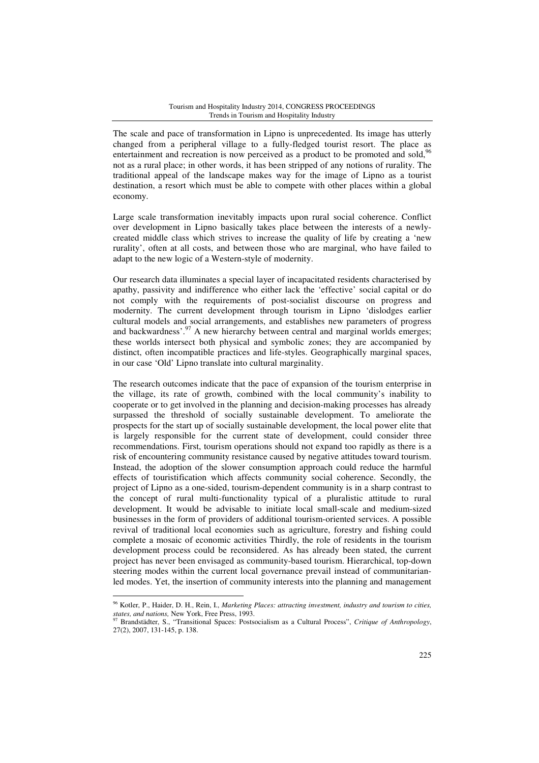The scale and pace of transformation in Lipno is unprecedented. Its image has utterly changed from a peripheral village to a fully-fledged tourist resort. The place as entertainment and recreation is now perceived as a product to be promoted and sold,  $96$ not as a rural place; in other words, it has been stripped of any notions of rurality. The traditional appeal of the landscape makes way for the image of Lipno as a tourist destination, a resort which must be able to compete with other places within a global economy.

Large scale transformation inevitably impacts upon rural social coherence. Conflict over development in Lipno basically takes place between the interests of a newlycreated middle class which strives to increase the quality of life by creating a 'new rurality', often at all costs, and between those who are marginal, who have failed to adapt to the new logic of a Western-style of modernity.

Our research data illuminates a special layer of incapacitated residents characterised by apathy, passivity and indifference who either lack the 'effective' social capital or do not comply with the requirements of post-socialist discourse on progress and modernity. The current development through tourism in Lipno 'dislodges earlier cultural models and social arrangements, and establishes new parameters of progress and backwardness'.<sup>97</sup> A new hierarchy between central and marginal worlds emerges; these worlds intersect both physical and symbolic zones; they are accompanied by distinct, often incompatible practices and life-styles. Geographically marginal spaces, in our case 'Old' Lipno translate into cultural marginality.

The research outcomes indicate that the pace of expansion of the tourism enterprise in the village, its rate of growth, combined with the local community's inability to cooperate or to get involved in the planning and decision-making processes has already surpassed the threshold of socially sustainable development. To ameliorate the prospects for the start up of socially sustainable development, the local power elite that is largely responsible for the current state of development, could consider three recommendations. First, tourism operations should not expand too rapidly as there is a risk of encountering community resistance caused by negative attitudes toward tourism. Instead, the adoption of the slower consumption approach could reduce the harmful effects of touristification which affects community social coherence. Secondly, the project of Lipno as a one-sided, tourism-dependent community is in a sharp contrast to the concept of rural multi-functionality typical of a pluralistic attitude to rural development. It would be advisable to initiate local small-scale and medium-sized businesses in the form of providers of additional tourism-oriented services. A possible revival of traditional local economies such as agriculture, forestry and fishing could complete a mosaic of economic activities Thirdly, the role of residents in the tourism development process could be reconsidered. As has already been stated, the current project has never been envisaged as community-based tourism. Hierarchical, top-down steering modes within the current local governance prevail instead of communitarianled modes. Yet, the insertion of community interests into the planning and management

<sup>96</sup> Kotler, P., Haider, D. H., Rein, I., *Marketing Places: attracting investment, industry and tourism to cities, states, and nations,* New York, Free Press, 1993.

<sup>97</sup> Brandstädter, S., "Transitional Spaces: Postsocialism as a Cultural Process", *Critique of Anthropology*, 27(2), 2007, 131-145, p. 138.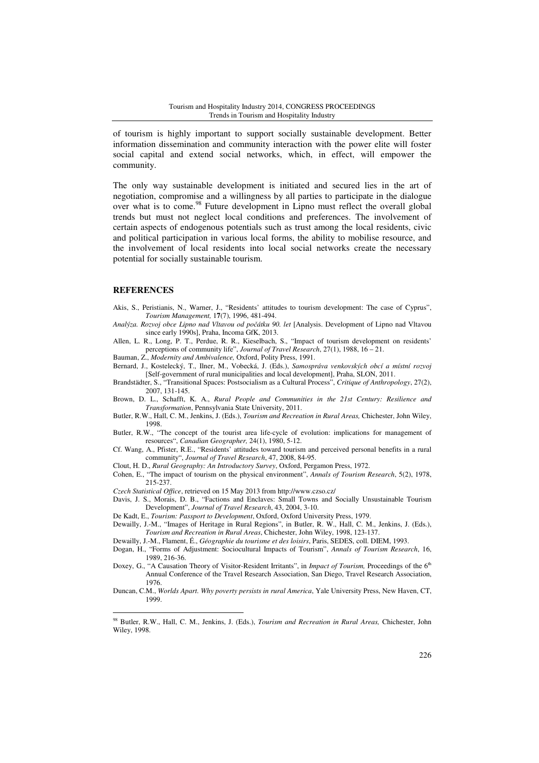of tourism is highly important to support socially sustainable development. Better information dissemination and community interaction with the power elite will foster social capital and extend social networks, which, in effect, will empower the community.

The only way sustainable development is initiated and secured lies in the art of negotiation, compromise and a willingness by all parties to participate in the dialogue over what is to come.<sup>98</sup> Future development in Lipno must reflect the overall global trends but must not neglect local conditions and preferences. The involvement of certain aspects of endogenous potentials such as trust among the local residents, civic and political participation in various local forms, the ability to mobilise resource, and the involvement of local residents into local social networks create the necessary potential for socially sustainable tourism.

### **REFERENCES**

 $\overline{a}$ 

Akis, S., Peristianis, N., Warner, J., "Residents' attitudes to tourism development: The case of Cyprus", *Tourism Management,* 1**7**(7), 1996, 481-494.

*Analýza. Rozvoj obce Lipno nad Vltavou od po*č*átku 90. let* [Analysis. Development of Lipno nad Vltavou since early 1990s], Praha, Incoma GfK, 2013.

Allen, L. R., Long, P. T., Perdue, R. R., Kieselbach, S., "Impact of tourism development on residents' perceptions of community life", *Journal of Travel Research*, 27(1), 1988, 16 – 21.

Bauman, Z., *Modernity and Ambivalence,* Oxford, Polity Press, 1991.

Bernard, J., Kostelecký, T., Ilner, M., Vobecká, J. (Eds.), *Samospráva venkovských obcí a místní rozvoj*  [Self-government of rural municipalities and local development], Praha, SLON, 2011.

Brandstädter, S., "Transitional Spaces: Postsocialism as a Cultural Process", *Critique of Anthropology*, 27(2), 2007, 131-145.

Brown, D. L., Schafft, K. A., *Rural People and Communities in the 21st Century: Resilience and Transformation*, Pennsylvania State University, 2011.

Butler, R.W., Hall, C. M., Jenkins, J. (Eds.), *Tourism and Recreation in Rural Areas,* Chichester, John Wiley, 1998.

Butler, R.W., "The concept of the tourist area life-cycle of evolution: implications for management of resources", *Canadian Geographer,* 24(1), 1980, 5-12.

Cf. Wang, A., Pfister, R.E., "Residents' attitudes toward tourism and perceived personal benefits in a rural community", *Journal of Travel Research*, 47, 2008, 84-95.

Clout, H. D., *Rural Geography: An Introductory Survey*, Oxford, Pergamon Press, 1972.

Cohen, E., "The impact of tourism on the physical environment", *Annals of Tourism Research*, 5(2), 1978, 215-237.

*Czech Statistical Office*, retrieved on 15 May 2013 from http://www.czso.cz/

Davis, J. S., Morais, D. B., "Factions and Enclaves: Small Towns and Socially Unsustainable Tourism Development", *Journal of Travel Research*, 43, 2004, 3-10.

De Kadt, E., *Tourism: Passport to Development*, Oxford, Oxford University Press, 1979.

Dewailly, J.-M., "Images of Heritage in Rural Regions", in Butler, R. W., Hall, C. M., Jenkins, J. (Eds.), *Tourism and Recreation in Rural Areas*, Chichester, John Wiley, 1998, 123-137.

Dewailly, J.-M., Flament, É., *Géographie du tourisme et des loisirs*, Paris, SEDES, coll. DIEM, 1993.

Dogan, H., "Forms of Adjustment: Sociocultural Impacts of Tourism", *Annals of Tourism Research*, 16, 1989, 216-36.

Doxey, G., "A Causation Theory of Visitor-Resident Irritants", in *Impact of Tourism*, Proceedings of the 6<sup>th</sup> Annual Conference of the Travel Research Association, San Diego, Travel Research Association, 1976.

Duncan, C.M., *Worlds Apart. Why poverty persists in rural America*, Yale University Press, New Haven, CT, 1999.

<sup>98</sup> Butler, R.W., Hall, C. M., Jenkins, J. (Eds.), *Tourism and Recreation in Rural Areas,* Chichester, John Wiley, 1998.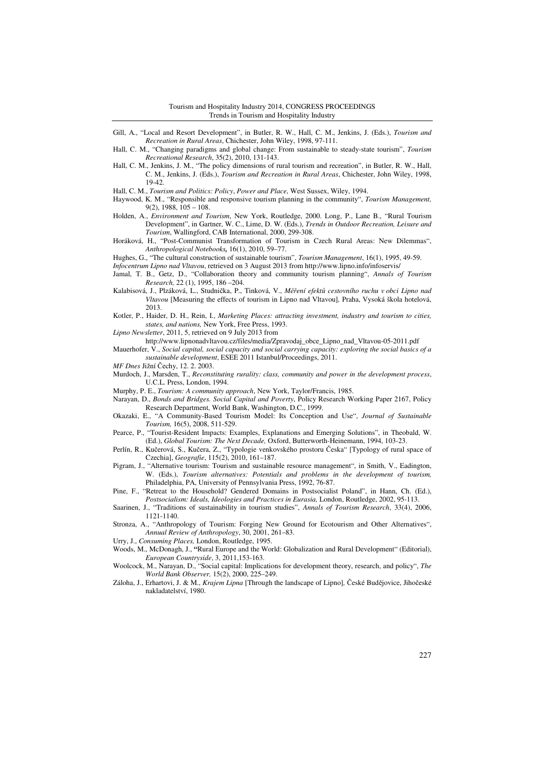- Gill, A., "Local and Resort Development", in Butler, R. W., Hall, C. M., Jenkins, J. (Eds.), *Tourism and Recreation in Rural Areas*, Chichester, John Wiley, 1998, 97-111.
- Hall, C. M., "Changing paradigms and global change: From sustainable to steady-state tourism", *Tourism Recreational Research*, 35(2), 2010, 131-143.
- Hall, C. M., Jenkins, J. M., "The policy dimensions of rural tourism and recreation", in Butler, R. W., Hall, C. M., Jenkins, J. (Eds.), *Tourism and Recreation in Rural Areas*, Chichester, John Wiley, 1998, 19-42.

Hall, C. M., *Tourism and Politics: Policy*, *Power and Place*, West Sussex, Wiley, 1994.

- Haywood, K. M., "Responsible and responsive tourism planning in the community", *Tourism Management,*  9(2), 1988, 105 – 108.
- Holden, A., *Environment and Tourism*, New York, Routledge, 2000. Long, P., Lane B., "Rural Tourism Development", in Gartner, W. C., Lime, D. W. (Eds.), *Trends in Outdoor Recreation, Leisure and Tourism*, Wallingford, CAB International, 2000, 299-308.
- Horáková, H., "Post-Communist Transformation of Tourism in Czech Rural Areas: New Dilemmas", *Anthropological Notebooks,* 16(1), 2010, 59–77.
- Hughes, G., "The cultural construction of sustainable tourism", *Tourism Management*, 16(1), 1995, 49-59.
- *Infocentrum Lipno nad Vltavou*, retrieved on 3 August 2013 from http://www.lipno.info/infoservis/
- Jamal, T. B., Getz, D., "Collaboration theory and community tourism planning", *Annals of Tourism Research,* 22 (1), 1995, 186 –204.
- Kalabisová, J., Plzáková, L., Studnička, P., Tinková, V., *M*ěř*ení efekt*ů *cestovního ruchu v obci Lipno nad Vltavou* [Measuring the effects of tourism in Lipno nad Vltavou]*,* Praha, Vysoká škola hotelová, 2013.
- Kotler, P., Haider, D. H., Rein, I., *Marketing Places: attracting investment, industry and tourism to cities, states, and nations,* New York, Free Press, 1993.

*Lipno Newsletter*, 2011, 5, retrieved on 9 July 2013 from

- http://www.lipnonadvltavou.cz/files/media/Zpravodaj\_obce\_Lipno\_nad\_Vltavou-05-2011.pdf
- Mauerhofer, V., *Social capital, social capacity and social carrying capacity: exploring the social basics of a sustainable development*, ESEE 2011 Istanbul/Proceedings, 2011.
- *MF Dnes* Jižní Čechy, 12. 2. 2003.
- Murdoch, J., Marsden, T., *Reconstituting rurality: class, community and power in the development process*, U.C.L. Press, London, 1994.
- Murphy, P. E., *Tourism: A community approach*, New York, Taylor/Francis, 1985.
- Narayan, D., *Bonds and Bridges. Social Capital and Poverty*, Policy Research Working Paper 2167, Policy Research Department, World Bank, Washington, D.C., 1999.
- Okazaki, E., "A Community-Based Tourism Model: Its Conception and Use", *Journal of Sustainable Tourism,* 16(5), 2008, 511-529.
- Pearce, P., "Tourist-Resident Impacts: Examples, Explanations and Emerging Solutions", in Theobald, W. (Ed.), *Global Tourism: The Next Decade,* Oxford, Butterworth-Heinemann, 1994, 103-23.
- Perlín, R., Kučerová, S., Kučera, Z., "Typologie venkovského prostoru Česka" [Typology of rural space of Czechia], *Geografie*, 115(2), 2010, 161–187.
- Pigram, J., "Alternative tourism: Tourism and sustainable resource management", in Smith, V., Eadington, W. (Eds.), *Tourism alternatives: Potentials and problems in the development of tourism,* Philadelphia, PA, University of Pennsylvania Press, 1992, 76-87.
- Pine, F., "Retreat to the Household? Gendered Domains in Postsocialist Poland", in Hann, Ch. (Ed.), *Postsocialism: Ideals, Ideologies and Practices in Eurasia,* London, Routledge, 2002, 95-113.
- Saarinen, J., "Traditions of sustainability in tourism studies", *Annals of Tourism Research*, 33(4), 2006, 1121-1140.
- Stronza, A., "Anthropology of Tourism: Forging New Ground for Ecotourism and Other Alternatives", *Annual Review of Anthropology*, 30, 2001, 261–83.
- Urry, J., *Consuming Places,* London, Routledge, 1995.
- Woods, M., McDonagh, J., **"**Rural Europe and the World: Globalization and Rural Development" (Editorial), *European Countryside*, 3, 2011,153-163.

Woolcock, M., Narayan, D., "Social capital: Implications for development theory, research, and policy", *The World Bank Observer,* 15(2), 2000, 225–249.

Záloha, J., Erhartovi, J. & M., *Krajem Lipna* [Through the landscape of Lipno]*,* České Budějovice, Jihočeské nakladatelství, 1980.